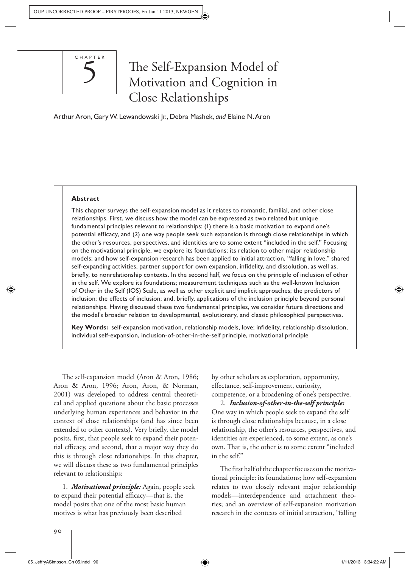

# The Self-Expansion Model of Motivation and Cognition in Close Relationships

Arthur Aron , Gary W. Lewandowski Jr., Debra Mashek, *and* Elaine N. Aron

#### **Abstract**

This chapter surveys the self-expansion model as it relates to romantic, familial, and other close relationships. First, we discuss how the model can be expressed as two related but unique fundamental principles relevant to relationships: (1) there is a basic motivation to expand one's potential efficacy, and (2) one way people seek such expansion is through close relationships in which the other's resources, perspectives, and identities are to some extent "included in the self." Focusing on the motivational principle, we explore its foundations; its relation to other major relationship models; and how self-expansion research has been applied to initial attraction, "falling in love," shared self-expanding activities, partner support for own expansion, infidelity, and dissolution, as well as, briefly, to nonrelationship contexts. In the second half, we focus on the principle of inclusion of other in the self. We explore its foundations; measurement techniques such as the well-known Inclusion of Other in the Self (IOS) Scale, as well as other explicit and implicit approaches; the predictors of inclusion; the effects of inclusion; and, briefly, applications of the inclusion principle beyond personal relationships. Having discussed these two fundamental principles, we consider future directions and the model's broader relation to developmental, evolutionary, and classic philosophical perspectives.

**Key Words:** self-expansion motivation, relationship models, love; infidelity, relationship dissolution, individual self-expansion, inclusion-of-other-in-the-self principle, motivational principle

The self-expansion model (Aron & Aron, 1986; Aron & Aron, 1996; Aron, Aron, & Norman, 2001) was developed to address central theoretical and applied questions about the basic processes underlying human experiences and behavior in the context of close relationships (and has since been extended to other contexts). Very briefly, the model posits, first, that people seek to expand their potential efficacy, and second, that a major way they do this is through close relationships. In this chapter, we will discuss these as two fundamental principles relevant to relationships:

 1. *Motivational principle:* Again, people seek to expand their potential efficacy—that is, the model posits that one of the most basic human motives is what has previously been described

by other scholars as exploration, opportunity, effectance, self-improvement, curiosity, competence, or a broadening of one's perspective.

 2. *Inclusion-of-other-in-the-self principle:* One way in which people seek to expand the self is through close relationships because, in a close relationship, the other's resources, perspectives, and identities are experienced, to some extent, as one's own. That is, the other is to some extent "included in the self."

The first half of the chapter focuses on the motivational principle: its foundations; how self-expansion relates to two closely relevant major relationship models—interdependence and attachment theories; and an overview of self-expansion motivation research in the contexts of initial attraction, "falling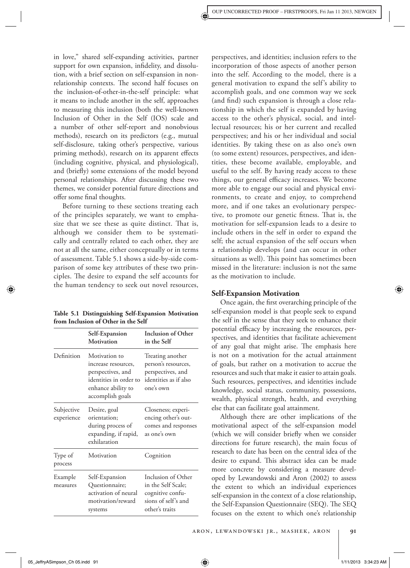in love," shared self-expanding activities, partner support for own expansion, infidelity, and dissolution, with a brief section on self-expansion in nonrelationship contexts. The second half focuses on the inclusion-of-other-in-the-self principle: what it means to include another in the self, approaches to measuring this inclusion (both the well-known Inclusion of Other in the Self (IOS) scale and a number of other self-report and nonobvious methods), research on its predictors (e.g., mutual self-disclosure, taking other's perspective, various priming methods), research on its apparent effects (including cognitive, physical, and physiological), and (briefly) some extensions of the model beyond personal relationships. After discussing these two themes, we consider potential future directions and offer some final thoughts.

 Before turning to these sections treating each of the principles separately, we want to emphasize that we see these as quite distinct. That is, although we consider them to be systematically and centrally related to each other, they are not at all the same, either conceptually or in terms of assessment. Table 5.1 shows a side-by-side comparison of some key attributes of these two principles. The desire to expand the self accounts for the human tendency to seek out novel resources,

 **Table 5.1 Distinguishing Self-Expansion Motivation from Inclusion of Other in the Self** 

|                          | Self-Expansion<br>Motivation                                                                                                  | <b>Inclusion of Other</b><br>in the Self                                                              |
|--------------------------|-------------------------------------------------------------------------------------------------------------------------------|-------------------------------------------------------------------------------------------------------|
| Definition               | Motivation to<br>increase resources,<br>perspectives, and<br>identities in order to<br>enhance ability to<br>accomplish goals | Treating another<br>person's resources,<br>perspectives, and<br>identities as if also<br>one's own    |
| Subjective<br>experience | Desire, goal<br>orientation;<br>during process of<br>expanding, if rapid,<br>exhilaration                                     | Closeness; experi-<br>encing other's out-<br>comes and responses<br>as one's own                      |
| Type of<br>process       | Motivation                                                                                                                    | Cognition                                                                                             |
| Example<br>measures      | Self-Expansion<br>Questionnaire;<br>activation of neural<br>motivation/reward<br>systems                                      | Inclusion of Other<br>in the Self Scale;<br>cognitive confu-<br>sions of self's and<br>other's traits |

perspectives, and identities; inclusion refers to the incorporation of those aspects of another person into the self. According to the model, there is a general motivation to expand the self 's ability to accomplish goals, and one common way we seek (and find) such expansion is through a close relationship in which the self is expanded by having access to the other's physical, social, and intellectual resources; his or her current and recalled perspectives; and his or her individual and social identities. By taking these on as also one's own (to some extent) resources, perspectives, and identities, these become available, employable, and useful to the self. By having ready access to these things, our general efficacy increases. We become more able to engage our social and physical environments, to create and enjoy, to comprehend more, and if one takes an evolutionary perspective, to promote our genetic fitness. That is, the motivation for self-expansion leads to a desire to include others in the self in order to expand the self; the actual expansion of the self occurs when a relationship develops (and can occur in other situations as well). This point has sometimes been missed in the literature: inclusion is not the same as the motivation to include.

## **Self-Expansion Motivation**

Once again, the first overarching principle of the self-expansion model is that people seek to expand the self in the sense that they seek to enhance their potential efficacy by increasing the resources, perspectives, and identities that facilitate achievement of any goal that might arise. The emphasis here is not on a motivation for the actual attainment of goals, but rather on a motivation to accrue the resources and such that make it easier to attain goals. Such resources, perspectives, and identities include knowledge, social status, community, possessions, wealth, physical strength, health, and everything else that can facilitate goal attainment.

 Although there are other implications of the motivational aspect of the self-expansion model (which we will consider briefly when we consider directions for future research), the main focus of research to date has been on the central idea of the desire to expand. This abstract idea can be made more concrete by considering a measure developed by Lewandowski and Aron (2002) to assess the extent to which an individual experiences self-expansion in the context of a close relationship, the Self-Expansion Questionnaire (SEQ). The SEQ focuses on the extent to which one's relationship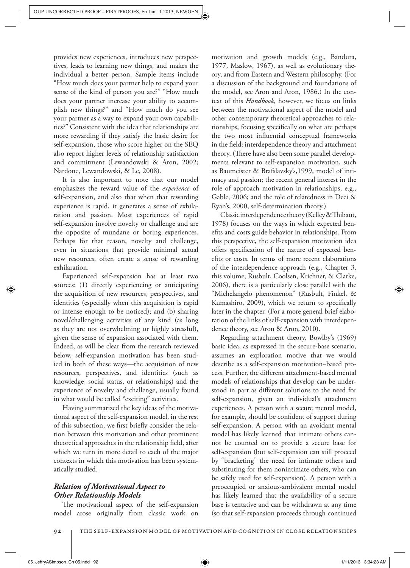provides new experiences, introduces new perspectives, leads to learning new things, and makes the individual a better person. Sample items include "How much does your partner help to expand your sense of the kind of person you are?" "How much does your partner increase your ability to accomplish new things?" and "How much do you see your partner as a way to expand your own capabilities?" Consistent with the idea that relationships are more rewarding if they satisfy the basic desire for self-expansion, those who score higher on the SEQ also report higher levels of relationship satisfaction and commitment (Lewandowski & Aron, 2002; Nardone, Lewandowski, & Le, 2008).

 It is also important to note that our model emphasizes the reward value of the *experience* of self-expansion, and also that when that rewarding experience is rapid, it generates a sense of exhilaration and passion. Most experiences of rapid self-expansion involve novelty or challenge and are the opposite of mundane or boring experiences. Perhaps for that reason, novelty and challenge, even in situations that provide minimal actual new resources, often create a sense of rewarding exhilaration.

 Experienced self-expansion has at least two sources: (1) directly experiencing or anticipating the acquisition of new resources, perspectives, and identities (especially when this acquisition is rapid or intense enough to be noticed); and (b) sharing novel/challenging activities of any kind (as long as they are not overwhelming or highly stressful), given the sense of expansion associated with them. Indeed, as will be clear from the research reviewed below, self-expansion motivation has been studied in both of these ways—the acquisition of new resources, perspectives, and identities (such as knowledge, social status, or relationships) and the experience of novelty and challenge, usually found in what would be called "exciting" activities.

 Having summarized the key ideas of the motivational aspect of the self-expansion model, in the rest of this subsection, we first briefly consider the relation between this motivation and other prominent theoretical approaches in the relationship field, after which we turn in more detail to each of the major contexts in which this motivation has been systematically studied.

# *Relation of Motivational Aspect to Other Relationship Models*

The motivational aspect of the self-expansion model arose originally from classic work on motivation and growth models (e.g., Bandura, 1977, Maslow, 1967), as well as evolutionary theory, and from Eastern and Western philosophy. (For a discussion of the background and foundations of the model, see Aron and Aron, 1986.) In the context of this *Handbook*, however, we focus on links between the motivational aspect of the model and other contemporary theoretical approaches to relationships, focusing specifically on what are perhaps the two most influential conceptual frameworks in the field: interdependence theory and attachment theory. (There have also been some parallel developments relevant to self-expansion motivation, such as Baumeister & Brafslavsky's,1999, model of intimacy and passion; the recent general interest in the role of approach motivation in relationships, e.g., Gable, 2006; and the role of relatedness in Deci & Ryan's, 2000, self-determination theory.)

Classic interdependence theory (Kelley & Thibaut, 1978) focuses on the ways in which expected benefits and costs guide behavior in relationships. From this perspective, the self-expansion motivation idea offers specification of the nature of expected benefits or costs. In terms of more recent elaborations of the interdependence approach (e.g., Chapter 3, this volume; Rusbult, Coolsen, Krichner, & Clarke, 2006), there is a particularly close parallel with the "Michelangelo phenomenon" (Rusbult, Finkel, & Kumashiro, 2009), which we return to specifically later in the chapter. (For a more general brief elaboration of the links of self-expansion with interdependence theory, see Aron & Aron, 2010).

 Regarding attachment theory, Bowlby's (1969) basic idea, as expressed in the secure-base scenario, assumes an exploration motive that we would describe as a self-expansion motivation–based process. Further, the different attachment-based mental models of relationships that develop can be understood in part as different solutions to the need for self-expansion, given an individual's attachment experiences. A person with a secure mental model, for example, should be confident of support during self-expansion. A person with an avoidant mental model has likely learned that intimate others cannot be counted on to provide a secure base for self-expansion (but self-expansion can still proceed by "bracketing" the need for intimate others and substituting for them nonintimate others, who can be safely used for self-expansion). A person with a preoccupied or anxious-ambivalent mental model has likely learned that the availability of a secure base is tentative and can be withdrawn at any time (so that self-expansion proceeds through continued

92 | THE SELF-EXPANSION MODEL OF MOTIVATION AND COGNITION IN CLOSE RELATIONSHIPS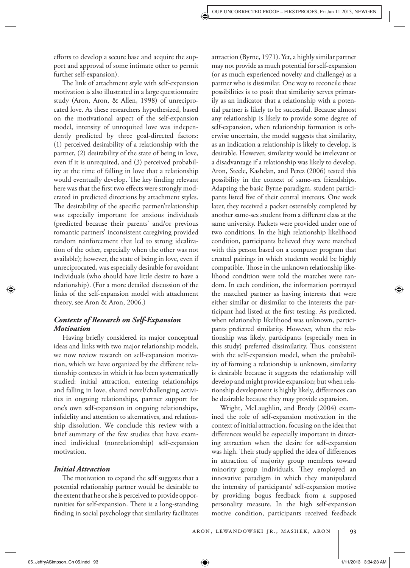efforts to develop a secure base and acquire the support and approval of some intimate other to permit further self-expansion).

The link of attachment style with self-expansion motivation is also illustrated in a large questionnaire study (Aron, Aron, & Allen, 1998) of unreciprocated love. As these researchers hypothesized, based on the motivational aspect of the self-expansion model, intensity of unrequited love was independently predicted by three goal-directed factors: (1) perceived desirability of a relationship with the partner, (2) desirability of the state of being in love, even if it is unrequited, and (3) perceived probability at the time of falling in love that a relationship would eventually develop. The key finding relevant here was that the first two effects were strongly moderated in predicted directions by attachment styles. The desirability of the specific partner/relationship was especially important for anxious individuals (predicted because their parents' and/or previous romantic partners' inconsistent caregiving provided random reinforcement that led to strong idealization of the other, especially when the other was not available); however, the state of being in love, even if unreciprocated, was especially desirable for avoidant individuals (who should have little desire to have a relationship). (For a more detailed discussion of the links of the self-expansion model with attachment theory, see Aron & Aron, 2006.)

# *Contexts of Research on Self-Expansion Motivation*

Having briefly considered its major conceptual ideas and links with two major relationship models, we now review research on self-expansion motivation, which we have organized by the different relationship contexts in which it has been systematically studied: initial attraction, entering relationships and falling in love, shared novel/challenging activities in ongoing relationships, partner support for one's own self-expansion in ongoing relationships, infidelity and attention to alternatives, and relationship dissolution. We conclude this review with a brief summary of the few studies that have examined individual (nonrelationship) self-expansion motivation.

## *Initial Attraction*

The motivation to expand the self suggests that a potential relationship partner would be desirable to the extent that he or she is perceived to provide opportunities for self-expansion. There is a long-standing finding in social psychology that similarity facilitates

attraction (Byrne, 1971). Yet, a highly similar partner may not provide as much potential for self-expansion (or as much experienced novelty and challenge) as a partner who is dissimilar. One way to reconcile these possibilities is to posit that similarity serves primarily as an indicator that a relationship with a potential partner is likely to be successful. Because almost any relationship is likely to provide some degree of self-expansion, when relationship formation is otherwise uncertain, the model suggests that similarity, as an indication a relationship is likely to develop, is desirable. However, similarity would be irrelevant or a disadvantage if a relationship was likely to develop. Aron, Steele, Kashdan, and Perez (2006) tested this possibility in the context of same-sex friendships. Adapting the basic Byrne paradigm, student participants listed five of their central interests. One week later, they received a packet ostensibly completed by another same-sex student from a different class at the same university. Packets were provided under one of two conditions. In the high relationship likelihood condition, participants believed they were matched with this person based on a computer program that created pairings in which students would be highly compatible. Those in the unknown relationship likelihood condition were told the matches were random. In each condition, the information portrayed the matched partner as having interests that were either similar or dissimilar to the interests the participant had listed at the first testing. As predicted, when relationship likelihood was unknown, participants preferred similarity. However, when the relationship was likely, participants (especially men in this study) preferred dissimilarity. Thus, consistent with the self-expansion model, when the probability of forming a relationship is unknown, similarity is desirable because it suggests the relationship will develop and might provide expansion; but when relationship development is highly likely, differences can be desirable because they may provide expansion.

 Wright, McLaughlin, and Brody (2004) examined the role of self-expansion motivation in the context of initial attraction, focusing on the idea that differences would be especially important in directing attraction when the desire for self-expansion was high. Their study applied the idea of differences in attraction of majority group members toward minority group individuals. They employed an innovative paradigm in which they manipulated the intensity of participants' self-expansion motive by providing bogus feedback from a supposed personality measure. In the high self-expansion motive condition, participants received feedback

05\_JeffryASimpson\_Ch 05.indd 93 534:23 AM  $\bigoplus$  5\_JeffryASimpson\_Ch 05.indd 93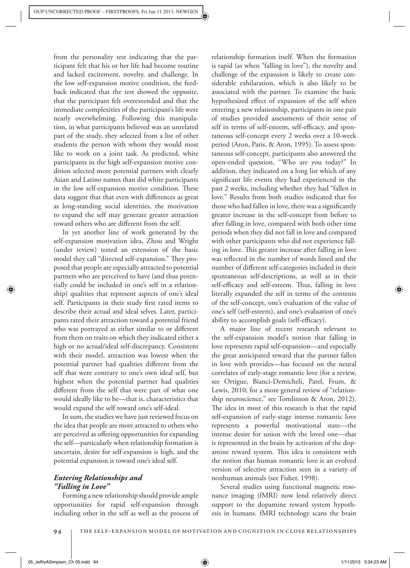from the personality test indicating that the participant felt that his or her life had become routine and lacked excitement, novelty, and challenge. In the low self-expansion motive condition, the feedback indicated that the test showed the opposite, that the participant felt overextended and that the immediate complexities of the participant's life were nearly overwhelming. Following this manipulation, in what participants believed was an unrelated part of the study, they selected from a list of other students the person with whom they would most like to work on a joint task. As predicted, white participants in the high self-expansion motive condition selected more potential partners with clearly Asian and Latino names than did white participants in the low self-expansion motive condition. These data suggest that that even with differences as great as long-standing social identities, the motivation to expand the self may generate greater attraction toward others who are different from the self.

 In yet another line of work generated by the self-expansion motivation idea, Zhou and Wright (under review) tested an extension of the basic model they call "directed self-expansion." They proposed that people are especially attracted to potential partners who are perceived to have (and thus potentially could be included in one's self in a relationship) qualities that represent aspects of one's ideal self. Participants in their study first rated items to describe their actual and ideal selves. Later, participants rated their attraction toward a potential friend who was portrayed as either similar to or different from them on traits on which they indicated either a high or no actual/ideal self-discrepancy. Consistent with their model, attraction was lowest when the potential partner had qualities different from the self that were contrary to one's own ideal self, but highest when the potential partner had qualities different from the self that were part of what one would ideally like to be—that is, characteristics that would expand the self toward one's self-ideal.

 In sum, the studies we have just reviewed focus on the idea that people are more attracted to others who are perceived as offering opportunities for expanding the self—particularly when relationship formation is uncertain, desire for self-expansion is high, and the potential expansion is toward one's ideal self.

# *Entering Relationships and "Falling in Love"*

 Forming a new relationship should provide ample opportunities for rapid self-expansion through including other in the self as well as the process of relationship formation itself. When the formation is rapid (as when "falling in love"), the novelty and challenge of the expansion is likely to create considerable exhilaration, which is also likely to be associated with the partner. To examine the basic hypothesized effect of expansion of the self when entering a new relationship, participants in one pair of studies provided assessments of their sense of self in terms of self-esteem, self-efficacy, and spontaneous self-concept every 2 weeks over a 10-week period (Aron, Paris, & Aron, 1995). To assess spontaneous self-concept, participants also answered the open-ended question, "Who are you today?" In addition, they indicated on a long list which of any significant life events they had experienced in the past 2 weeks, including whether they had "fallen in love." Results from both studies indicated that for those who had fallen in love, there was a significantly greater increase in the self-concept from before to after falling in love, compared with both other time periods when they did not fall in love and compared with other participants who did not experience falling in love. This greater increase after falling in love was reflected in the number of words listed and the number of different self-categories included in their spontaneous self-descriptions, as well as in their self-efficacy and self-esteem. Thus, falling in love literally expanded the self in terms of the contents of the self-concept, one's evaluation of the value of one's self (self-esteem), and one's evaluation of one's ability to accomplish goals (self-efficacy).

 A major line of recent research relevant to the self-expansion model's notion that falling in love represents rapid self-expansion—and especially the great anticipated reward that the partner fallen in love with provides—has focused on the neural correlates of early-stage romantic love (for a review, see Ortigue, Bianci-Demicheli, Patel, Frum, & Lewis, 2010; for a more general review of "relationship neuroscience," see Tomlinson & Aron, 2012). The idea in most of this research is that the rapid self-expansion of early-stage intense romantic love represents a powerful motivational state—the intense desire for union with the loved one—that is represented in the brain by activation of the dopamine reward system. This idea is consistent with the notion that human romantic love is an evolved version of selective attraction seen in a variety of nonhuman animals (see Fisher, 1998).

 Several studies using functional magnetic resonance imaging (fMRI) now lend relatively direct support to the dopamine reward system hypothesis in humans. fMRI technology scans the brain

94 | THE SELF-EXPANSION MODEL OF MOTIVATION AND COGNITION IN CLOSE RELATIONSHIPS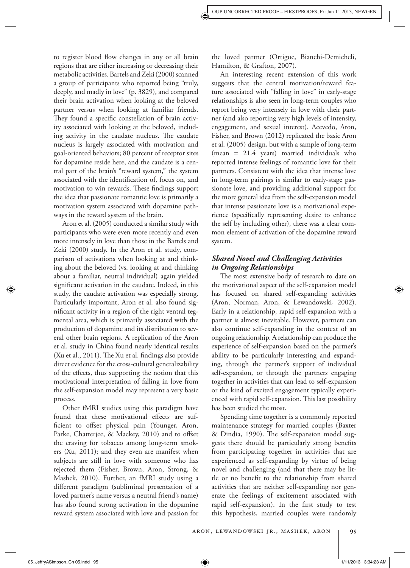to register blood flow changes in any or all brain regions that are either increasing or decreasing their metabolic activities. Bartels and Zeki (2000) scanned a group of participants who reported being "truly, deeply, and madly in love" (p. 3829), and compared their brain activation when looking at the beloved partner versus when looking at familiar friends. They found a specific constellation of brain activity associated with looking at the beloved, including activity in the caudate nucleus. The caudate nucleus is largely associated with motivation and goal-oriented behaviors; 80 percent of receptor sites for dopamine reside here, and the caudate is a central part of the brain's "reward system," the system associated with the identification of, focus on, and motivation to win rewards. These findings support the idea that passionate romantic love is primarily a motivation system associated with dopamine pathways in the reward system of the brain.

 Aron et al. (2005) conducted a similar study with participants who were even more recently and even more intensely in love than those in the Bartels and Zeki (2000) study. In the Aron et al. study, comparison of activations when looking at and thinking about the beloved (vs. looking at and thinking about a familiar, neutral individual) again yielded significant activation in the caudate. Indeed, in this study, the caudate activation was especially strong. Particularly important, Aron et al. also found significant activity in a region of the right ventral tegmental area, which is primarily associated with the production of dopamine and its distribution to several other brain regions. A replication of the Aron et al. study in China found nearly identical results  $(Xu et al., 2011)$ . The  $Xu et al.$  findings also provide direct evidence for the cross-cultural generalizability of the effects, thus supporting the notion that this motivational interpretation of falling in love from the self-expansion model may represent a very basic process.

 Other fMRI studies using this paradigm have found that these motivational effects are sufficient to offset physical pain (Younger, Aron, Parke, Chatterjee, & Mackey, 2010) and to offset the craving for tobacco among long-term smokers (Xu, 2011); and they even are manifest when subjects are still in love with someone who has rejected them (Fisher, Brown, Aron, Strong, & Mashek, 2010). Further, an fMRI study using a different paradigm (subliminal presentation of a loved partner's name versus a neutral friend's name) has also found strong activation in the dopamine reward system associated with love and passion for

the loved partner (Ortigue, Bianchi-Demicheli, Hamilton, & Grafton, 2007).

 An interesting recent extension of this work suggests that the central motivation/reward feature associated with "falling in love" in early-stage relationships is also seen in long-term couples who report being very intensely in love with their partner (and also reporting very high levels of intensity, engagement, and sexual interest). Acevedo, Aron, Fisher, and Brown (2012) replicated the basic Aron et al. (2005) design, but with a sample of long-term (mean = 21.4 years) married individuals who reported intense feelings of romantic love for their partners. Consistent with the idea that intense love in long-term pairings is similar to early-stage passionate love, and providing additional support for the more general idea from the self-expansion model that intense passionate love is a motivational experience (specifically representing desire to enhance the self by including other), there was a clear common element of activation of the dopamine reward system.

# *Shared Novel and Challenging Activities in Ongoing Relationships*

The most extensive body of research to date on the motivational aspect of the self-expansion model has focused on shared self-expanding activities (Aron, Norman, Aron, & Lewandowski, 2002). Early in a relationship, rapid self-expansion with a partner is almost inevitable. However, partners can also continue self-expanding in the context of an ongoing relationship. A relationship can produce the experience of self-expansion based on the partner's ability to be particularly interesting and expanding, through the partner's support of individual self-expansion, or through the partners engaging together in activities that can lead to self-expansion or the kind of excited engagement typically experienced with rapid self-expansion. This last possibility has been studied the most.

 Spending time together is a commonly reported maintenance strategy for married couples (Baxter & Dindia, 1990). The self-expansion model suggests there should be particularly strong benefits from participating together in activities that are experienced as self-expanding by virtue of being novel and challenging (and that there may be little or no benefit to the relationship from shared activities that are neither self-expanding nor generate the feelings of excitement associated with rapid self-expansion). In the first study to test this hypothesis, married couples were randomly

⇔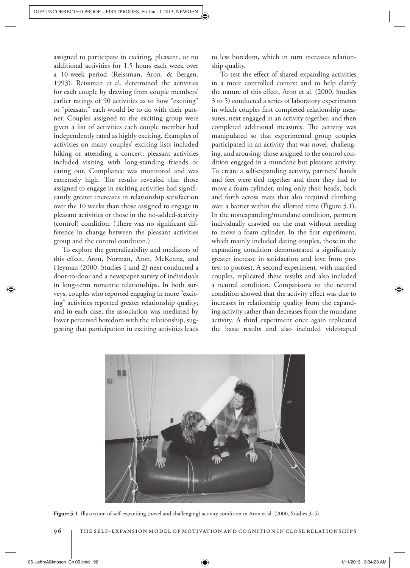assigned to participate in exciting, pleasant, or no additional activities for 1.5 hours each week over a 10-week period (Reissman, Aron, & Bergen, 1993). Reissman et al. determined the activities for each couple by drawing from couple members' earlier ratings of 90 activities as to how "exciting" or "pleasant" each would be to do with their partner. Couples assigned to the exciting group were given a list of activities each couple member had independently rated as highly exciting. Examples of activities on many couples' exciting lists included hiking or attending a concert; pleasant activities included visiting with long-standing friends or eating out. Compliance was monitored and was extremely high. The results revealed that those assigned to engage in exciting activities had significantly greater increases in relationship satisfaction over the 10 weeks than those assigned to engage in pleasant activities or those in the no-added-activity (control) condition. (There was no significant difference in change between the pleasant activities group and the control condition.)

 To explore the generalizability and mediators of this effect, Aron, Norman, Aron, McKenna, and Heyman (2000, Studies 1 and 2) next conducted a door-to-door and a newspaper survey of individuals in long-term romantic relationships. In both surveys, couples who reported engaging in more "exciting" activities reported greater relationship quality; and in each case, the association was mediated by lower perceived boredom with the relationship, suggesting that participation in exciting activities leads to less boredom, which in turn increases relationship quality.

To test the effect of shared expanding activities in a more controlled context and to help clarify the nature of this effect, Aron et al. (2000, Studies 3 to 5) conducted a series of laboratory experiments in which couples first completed relationship measures, next engaged in an activity together, and then completed additional measures. The activity was manipulated so that experimental group couples participated in an activity that was novel, challenging, and arousing; those assigned to the control condition engaged in a mundane but pleasant activity. To create a self-expanding activity, partners' hands and feet were tied together and then they had to move a foam cylinder, using only their heads, back and forth across mats that also required climbing over a barrier within the allotted time (Figure 5.1). In the nonexpanding/mundane condition, partners individually crawled on the mat without needing to move a foam cylinder. In the first experiment, which mainly included dating couples, those in the expanding condition demonstrated a significantly greater increase in satisfaction and love from pretest to posttest. A second experiment, with married couples, replicated these results and also included a neutral condition. Comparisons to the neutral condition showed that the activity effect was due to increases in relationship quality from the expanding activity rather than decreases from the mundane activity. A third experiment once again replicated the basic results and also included videotaped



Figure 5.1 Illustration of self-expanding (novel and challenging) activity condition in Aron et al. (2000, Studies 3–5).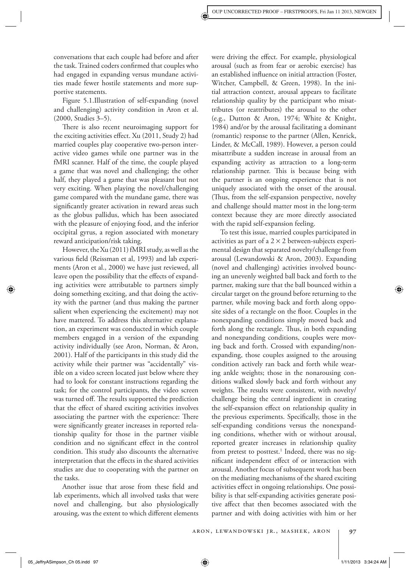conversations that each couple had before and after the task. Trained coders confirmed that couples who had engaged in expanding versus mundane activities made fewer hostile statements and more supportive statements.

 Figure 5.1. Illustration of self-expanding (novel and challenging) activity condition in Aron et al. (2000, Studies 3–5).

There is also recent neuroimaging support for the exciting activities effect. Xu (2011, Study 2) had married couples play cooperative two-person interactive video games while one partner was in the fMRI scanner. Half of the time, the couple played a game that was novel and challenging; the other half, they played a game that was pleasant but not very exciting. When playing the novel/challenging game compared with the mundane game, there was significantly greater activation in reward areas such as the globus pallidus, which has been associated with the pleasure of enjoying food, and the inferior occipital gyrus, a region associated with monetary reward anticipation/risk taking.

 However, the Xu (2011) fMRI study, as well as the various field (Reissman et al, 1993) and lab experiments (Aron et al., 2000) we have just reviewed, all leave open the possibility that the effects of expanding activities were attributable to partners simply doing something exciting, and that doing the activity with the partner (and thus making the partner salient when experiencing the excitement) may not have mattered. To address this alternative explanation, an experiment was conducted in which couple members engaged in a version of the expanding activity individually (see Aron, Norman, & Aron, 2001). Half of the participants in this study did the activity while their partner was "accidentally" visible on a video screen located just below where they had to look for constant instructions regarding the task; for the control participants, the video screen was turned off. The results supported the prediction that the effect of shared exciting activities involves associating the partner with the experience: There were significantly greater increases in reported relationship quality for those in the partner visible condition and no significant effect in the control condition. This study also discounts the alternative interpretation that the effects in the shared activities studies are due to cooperating with the partner on the tasks.

Another issue that arose from these field and lab experiments, which all involved tasks that were novel and challenging, but also physiologically arousing, was the extent to which different elements

were driving the effect. For example, physiological arousal (such as from fear or aerobic exercise) has an established influence on initial attraction (Foster, Witcher, Campbell, & Green, 1998). In the initial attraction context, arousal appears to facilitate relationship quality by the participant who misattributes (or reattributes) the arousal to the other (e.g., Dutton & Aron, 1974; White & Knight, 1984) and/or by the arousal facilitating a dominant (romantic) response to the partner (Allen, Kenrick, Linder, & McCall, 1989). However, a person could misattribute a sudden increase in arousal from an expanding activity as attraction to a long-term relationship partner. This is because being with the partner is an ongoing experience that is not uniquely associated with the onset of the arousal. (Thus, from the self-expansion perspective, novelty and challenge should matter most in the long-term context because they are more directly associated with the rapid self-expansion feeling.

 To test this issue, married couples participated in activities as part of a  $2 \times 2$  between-subjects experimental design that separated novelty/challenge from arousal (Lewandowski & Aron, 2003). Expanding (novel and challenging) activities involved bouncing an unevenly weighted ball back and forth to the partner, making sure that the ball bounced within a circular target on the ground before returning to the partner, while moving back and forth along opposite sides of a rectangle on the floor. Couples in the nonexpanding conditions simply moved back and forth along the rectangle. Thus, in both expanding and nonexpanding conditions, couples were moving back and forth. Crossed with expanding/nonexpanding, those couples assigned to the arousing condition actively ran back and forth while wearing ankle weights; those in the nonarousing conditions walked slowly back and forth without any weights. The results were consistent, with novelty/ challenge being the central ingredient in creating the self-expansion effect on relationship quality in the previous experiments. Specifically, those in the self-expanding conditions versus the nonexpanding conditions, whether with or without arousal, reported greater increases in relationship quality from pretest to posttest.<sup>1</sup> Indeed, there was no significant independent effect of or interaction with arousal. Another focus of subsequent work has been on the mediating mechanisms of the shared exciting activities effect in ongoing relationships. One possibility is that self-expanding activities generate positive affect that then becomes associated with the partner and with doing activities with him or her

05\_JeffryASimpson\_Ch 05.indd 97  $\bigoplus$  5\_JeffryASimpson\_Ch 05.indd 97 5.14:24 AM /11/2013 3:34:24 AM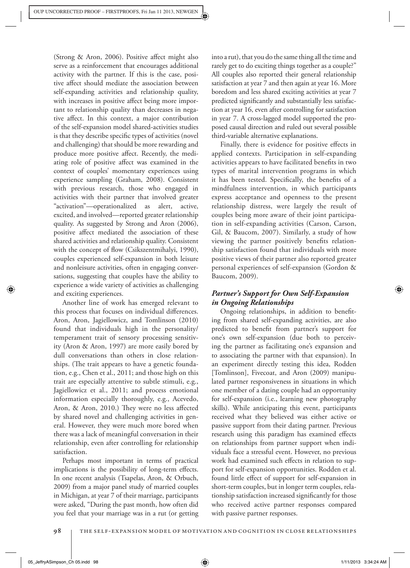(Strong & Aron, 2006). Positive affect might also serve as a reinforcement that encourages additional activity with the partner. If this is the case, positive affect should mediate the association between self-expanding activities and relationship quality, with increases in positive affect being more important to relationship quality than decreases in negative affect. In this context, a major contribution of the self-expansion model shared-activities studies is that they describe specific types of activities (novel and challenging) that should be more rewarding and produce more positive affect. Recently, the mediating role of positive affect was examined in the context of couples' momentary experiences using experience sampling (Graham, 2008). Consistent with previous research, those who engaged in activities with their partner that involved greater "activation"— operationalized as alert, active, excited, and involved—reported greater relationship quality. As suggested by Strong and Aron (2006), positive affect mediated the association of these shared activities and relationship quality. Consistent with the concept of flow (Csikszentmihalyi, 1990), couples experienced self-expansion in both leisure and nonleisure activities, often in engaging conversations, suggesting that couples have the ability to experience a wide variety of activities as challenging and exciting experiences.

 Another line of work has emerged relevant to this process that focuses on individual differences. Aron, Aron, Jagiellowicz, and Tomlinson (2010) found that individuals high in the personality/ temperament trait of sensory processing sensitivity (Aron & Aron, 1997) are more easily bored by dull conversations than others in close relationships. (The trait appears to have a genetic foundation, e.g., Chen et al., 2011; and those high on this trait are especially attentive to subtle stimuli, e.g., Jagiellowicz et al., 2011; and process emotional information especially thoroughly, e.g., Acevedo, Aron, & Aron, 2010.) They were no less affected by shared novel and challenging activities in general. However, they were much more bored when there was a lack of meaningful conversation in their relationship, even after controlling for relationship satisfaction.

 Perhaps most important in terms of practical implications is the possibility of long-term effects. In one recent analysis (Tsapelas, Aron, & Orbuch, 2009) from a major panel study of married couples in Michigan, at year 7 of their marriage, participants were asked, "During the past month, how often did you feel that your marriage was in a rut (or getting into a rut), that you do the same thing all the time and rarely get to do exciting things together as a couple?" All couples also reported their general relationship satisfaction at year 7 and then again at year 16. More boredom and less shared exciting activities at year 7 predicted significantly and substantially less satisfaction at year 16, even after controlling for satisfaction in year 7. A cross-lagged model supported the proposed causal direction and ruled out several possible third-variable alternative explanations.

Finally, there is evidence for positive effects in applied contexts. Participation in self-expanding activities appears to have facilitated benefits in two types of marital intervention programs in which it has been tested. Specifically, the benefits of a mindfulness intervention, in which participants express acceptance and openness to the present relationship distress, were largely the result of couples being more aware of their joint participation in self-expanding activities (Carson, Carson, Gil, & Baucom, 2007). Similarly, a study of how viewing the partner positively benefits relationship satisfaction found that individuals with more positive views of their partner also reported greater personal experiences of self-expansion (Gordon & Baucom, 2009).

# *Partner's Support for Own Self-Expansion in Ongoing Relationships*

Ongoing relationships, in addition to benefiting from shared self-expanding activities, are also predicted to benefit from partner's support for one's own self-expansion (due both to perceiving the partner as facilitating one's expansion and to associating the partner with that expansion). In an experiment directly testing this idea, Rodden [Tomlinson], Fivecoat, and Aron (2009) manipulated partner responsiveness in situations in which one member of a dating couple had an opportunity for self-expansion (i.e., learning new photography skills). While anticipating this event, participants received what they believed was either active or passive support from their dating partner. Previous research using this paradigm has examined effects on relationships from partner support when individuals face a stressful event. However, no previous work had examined such effects in relation to support for self-expansion opportunities. Rodden et al. found little effect of support for self-expansion in short-term couples, but in longer term couples, relationship satisfaction increased significantly for those who received active partner responses compared with passive partner responses.

98 | THE SELF-EXPANSION MODEL OF MOTIVATION AND COGNITION IN CLOSE RELATIONSHIPS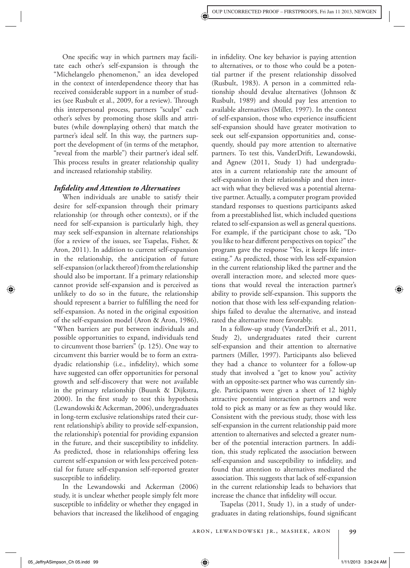One specific way in which partners may facilitate each other's self-expansion is through the "Michelangelo phenomenon," an idea developed in the context of interdependence theory that has received considerable support in a number of studies (see Rusbult et al., 2009, for a review). Through this interpersonal process, partners "sculpt" each other's selves by promoting those skills and attributes (while downplaying others) that match the partner's ideal self. In this way, the partners support the development of (in terms of the metaphor, "reveal from the marble") their partner's ideal self. This process results in greater relationship quality and increased relationship stability.

#### *Infi delity and Attention to Alternatives*

 When individuals are unable to satisfy their desire for self-expansion through their primary relationship (or through other contexts), or if the need for self-expansion is particularly high, they may seek self-expansion in alternate relationships (for a review of the issues, see Tsapelas, Fisher, & Aron, 2011). In addition to current self-expansion in the relationship, the anticipation of future self-expansion (or lack thereof) from the relationship should also be important. If a primary relationship cannot provide self-expansion and is perceived as unlikely to do so in the future, the relationship should represent a barrier to fulfilling the need for self-expansion. As noted in the original exposition of the self-expansion model (Aron & Aron, 1986), "When barriers are put between individuals and possible opportunities to expand, individuals tend to circumvent those barriers" (p. 125). One way to circumvent this barrier would be to form an extradyadic relationship (i.e., infidelity), which some have suggested can offer opportunities for personal growth and self-discovery that were not available in the primary relationship (Buunk & Dijkstra, 2000). In the first study to test this hypothesis (Lewandowski & Ackerman, 2006), undergraduates in long-term exclusive relationships rated their current relationship's ability to provide self-expansion, the relationship's potential for providing expansion in the future, and their susceptibility to infidelity. As predicted, those in relationships offering less current self-expansion or with less perceived potential for future self-expansion self-reported greater susceptible to infidelity.

 In the Lewandowski and Ackerman (2006) study, it is unclear whether people simply felt more susceptible to infidelity or whether they engaged in behaviors that increased the likelihood of engaging in infidelity. One key behavior is paying attention to alternatives, or to those who could be a potential partner if the present relationship dissolved (Rusbult, 1983). A person in a committed relationship should devalue alternatives (Johnson & Rusbult, 1989) and should pay less attention to available alternatives (Miller, 1997). In the context of self-expansion, those who experience insufficient self-expansion should have greater motivation to seek out self-expansion opportunities and, consequently, should pay more attention to alternative partners. To test this, VanderDrift, Lewandowski, and Agnew (2011, Study 1) had undergraduates in a current relationship rate the amount of self-expansion in their relationship and then interact with what they believed was a potential alternative partner. Actually, a computer program provided standard responses to questions participants asked from a preestablished list, which included questions related to self-expansion as well as general questions. For example, if the participant chose to ask, "Do you like to hear different perspectives on topics?" the program gave the response "Yes, it keeps life interesting." As predicted, those with less self-expansion in the current relationship liked the partner and the overall interaction more, and selected more questions that would reveal the interaction partner's ability to provide self-expansion. This supports the notion that those with less self-expanding relationships failed to devalue the alternative, and instead rated the alternative more favorably.

 In a follow-up study (VanderDrift et al., 2011, Study 2), undergraduates rated their current self-expansion and their attention to alternative partners (Miller, 1997). Participants also believed they had a chance to volunteer for a follow-up study that involved a "get to know you" activity with an opposite-sex partner who was currently single. Participants were given a sheet of 12 highly attractive potential interaction partners and were told to pick as many or as few as they would like. Consistent with the previous study, those with less self-expansion in the current relationship paid more attention to alternatives and selected a greater number of the potential interaction partners. In addition, this study replicated the association between self-expansion and susceptibility to infidelity, and found that attention to alternatives mediated the association. This suggests that lack of self-expansion in the current relationship leads to behaviors that increase the chance that infidelity will occur.

 Tsapelas (2011, Study 1), in a study of undergraduates in dating relationships, found significant

05\_JeffryASimpson\_Ch 05.indd 99  $\bigoplus$  5.34:24 AM  $\bigoplus$  5.34:24 AM  $\bigoplus$  5.11/2013 3:34:24 AM  $\bigoplus$  5.11/2013 3:34:24 AM  $\bigoplus$  5.11/2013 3:34:24 AM  $\bigoplus$  5.11/2013 3:34:24 AM  $\bigoplus$  5.11/2013 3:34:24 AM  $\bigoplus$  5.11/2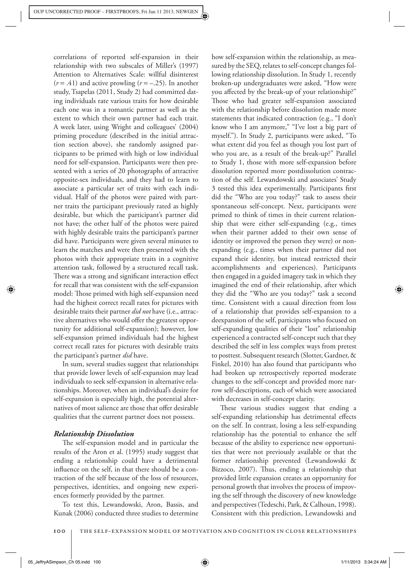correlations of reported self-expansion in their relationship with two subscales of Miller's (1997) Attention to Alternatives Scale: willful disinterest  $(r = .41)$  and active prowling  $(r = -.25)$ . In another study, Tsapelas (2011, Study 2) had committed dating individuals rate various traits for how desirable each one was in a romantic partner as well as the extent to which their own partner had each trait. A week later, using Wright and colleagues' (2004) priming procedure (described in the initial attraction section above), she randomly assigned participants to be primed with high or low individual need for self-expansion. Participants were then presented with a series of 20 photographs of attractive opposite-sex individuals, and they had to learn to associate a particular set of traits with each individual. Half of the photos were paired with partner traits the participant previously rated as highly desirable, but which the participant's partner did not have; the other half of the photos were paired with highly desirable traits the participant's partner did have. Participants were given several minutes to learn the matches and were then presented with the photos with their appropriate traits in a cognitive attention task, followed by a structured recall task. There was a strong and significant interaction effect for recall that was consistent with the self-expansion model: Those primed with high self-expansion need had the highest correct recall rates for pictures with desirable traits their partner *did not* have (i.e., attractive alternatives who would offer the greatest opportunity for additional self-expansion); however, low self-expansion primed individuals had the highest correct recall rates for pictures with desirable traits the participant's partner *did* have.

 In sum, several studies suggest that relationships that provide lower levels of self-expansion may lead individuals to seek self-expansion in alternative relationships. Moreover, when an individual's desire for self-expansion is especially high, the potential alternatives of most salience are those that offer desirable qualities that the current partner does not possess.

## *Relationship Dissolution*

The self-expansion model and in particular the results of the Aron et al. (1995) study suggest that ending a relationship could have a detrimental influence on the self, in that there should be a contraction of the self because of the loss of resources, perspectives, identities, and ongoing new experiences formerly provided by the partner.

 To test this, Lewandowski, Aron, Bassis, and Kunak (2006) conducted three studies to determine

how self-expansion within the relationship, as measured by the SEQ, relates to self-concept changes following relationship dissolution. In Study 1, recently broken-up undergraduates were asked, "How were you affected by the break-up of your relationship?" Those who had greater self-expansion associated with the relationship before dissolution made more statements that indicated contraction (e.g., "I don't know who I am anymore," "I've lost a big part of myself."). In Study 2, participants were asked, "To what extent did you feel as though you lost part of who you are, as a result of the break-up?" Parallel to Study 1, those with more self-expansion before dissolution reported more postdissolution contraction of the self. Lewandowski and associates' Study 3 tested this idea experimentally. Participants first did the "Who are you today?" task to assess their spontaneous self-concept. Next, participants were primed to think of times in their current relationship that were either self-expanding (e.g., times when their partner added to their own sense of identity or improved the person they were) or nonexpanding (e.g., times when their partner did not expand their identity, but instead restricted their accomplishments and experiences). Participants then engaged in a guided imagery task in which they imagined the end of their relationship, after which they did the "Who are you today?" task a second time. Consistent with a causal direction from loss of a relationship that provides self-expansion to a deexpansion of the self, participants who focused on self-expanding qualities of their "lost" relationship experienced a contracted self-concept such that they described the self in less complex ways from pretest to posttest. Subsequent research (Slotter, Gardner, & Finkel, 2010) has also found that participants who had broken up retrospectively reported moderate changes to the self-concept and provided more narrow self-descriptions, each of which were associated with decreases in self-concept clarity.

These various studies suggest that ending a self-expanding relationship has detrimental effects on the self. In contrast, losing a less self-expanding relationship has the potential to enhance the self because of the ability to experience new opportunities that were not previously available or that the former relationship prevented (Lewandowski & Bizzoco, 2007). Thus, ending a relationship that provided little expansion creates an opportunity for personal growth that involves the process of improving the self through the discovery of new knowledge and perspectives (Tedeschi, Park, & Calhoun, 1998). Consistent with this prediction, Lewandowski and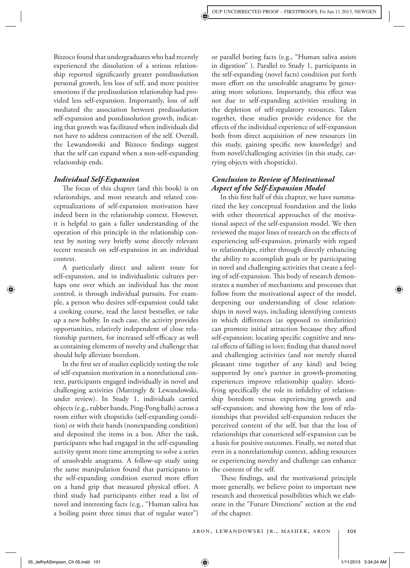Bizzoco found that undergraduates who had recently experienced the dissolution of a serious relationship reported significantly greater postdissolution personal growth, less loss of self, and more positive emotions if the predissolution relationship had provided less self-expansion. Importantly, loss of self mediated the association between predissolution self-expansion and postdissolution growth, indicating that growth was facilitated when individuals did not have to address contraction of the self. Overall, the Lewandowski and Bizzoco findings suggest that the self can expand when a non-self-expanding relationship ends.

#### *Individual Self-Expansion*

The focus of this chapter (and this book) is on relationships, and most research and related conceptualizations of self-expansion motivation have indeed been in the relationship context. However, it is helpful to gain a fuller understanding of the operation of this principle in the relationship context by noting very briefly some directly relevant recent research on self-expansion in an individual context.

 A particularly direct and salient route for self-expansion, and in individualistic cultures perhaps one over which an individual has the most control, is through individual pursuits. For example, a person who desires self-expansion could take a cooking course, read the latest bestseller, or take up a new hobby. In each case, the activity provides opportunities, relatively independent of close relationship partners, for increased self-efficacy as well as containing elements of novelty and challenge that should help alleviate boredom.

In the first set of studies explicitly testing the role of self-expansion motivation in a nonrelational context, participants engaged individually in novel and challenging activities (Mattingly & Lewandowski, under review). In Study 1, individuals carried objects (e.g., rubber bands, Ping-Pong balls) across a room either with chopsticks (self-expanding condition) or with their hands (nonexpanding condition) and deposited the items in a box. After the task, participants who had engaged in the self-expanding activity spent more time attempting to solve a series of unsolvable anagrams. A follow-up study using the same manipulation found that participants in the self-expanding condition exerted more effort on a hand grip that measured physical effort. A third study had participants either read a list of novel and interesting facts (e.g., "Human saliva has a boiling point three times that of regular water")

or parallel boring facts (e.g., "Human saliva assists in digestion" ). Parallel to Study 1, participants in the self-expanding (novel facts) condition put forth more effort on the unsolvable anagrams by generating more solutions. Importantly, this effect was not due to self-expanding activities resulting in the depletion of self-regulatory resources. Taken together, these studies provide evidence for the effects of the individual experience of self-expansion both from direct acquisition of new resources (in this study, gaining specific new knowledge) and from novel/challenging activities (in this study, carrying objects with chopsticks).

# *Conclusion to Review of Motivational Aspect of the Self-Expansion Model*

In this first half of this chapter, we have summarized the key conceptual foundation and the links with other theoretical approaches of the motivational aspect of the self-expansion model. We then reviewed the major lines of research on the effects of experiencing self-expansion, primarily with regard to relationships, either through directly enhancing the ability to accomplish goals or by participating in novel and challenging activities that create a feeling of self-expansion. This body of research demonstrates a number of mechanisms and processes that follow from the motivational aspect of the model, deepening our understanding of close relationships in novel ways, including identifying contexts in which differences (as opposed to similarities) can promote initial attraction because they afford self-expansion; locating specific cognitive and neural effects of falling in love; finding that shared novel and challenging activities (and not merely shared pleasant time together of any kind) and being supported by one's partner in growth-promoting experiences improve relationship quality; identifying specifically the role in infidelity of relationship boredom versus experiencing growth and self-expansion; and showing how the loss of relationships that provided self-expansion reduces the perceived content of the self, but that the loss of relationships that constricted self-expansion can be a basis for positive outcomes. Finally, we noted that even in a nonrelationship context, adding resources or experiencing novelty and challenge can enhance the content of the self.

These findings, and the motivational principle more generally, we believe point to important new research and theoretical possibilities which we elaborate in the "Future Directions" section at the end of the chapter.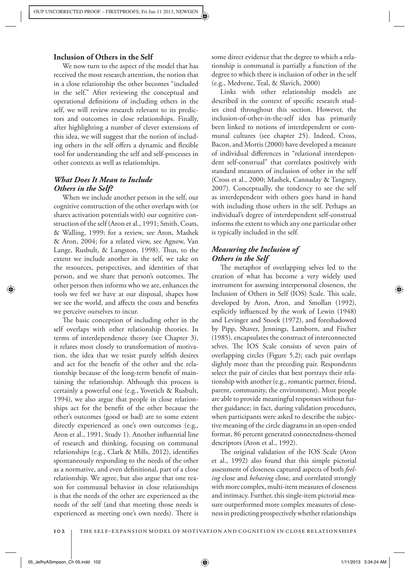## **Inclusion of Others in the Self**

 We now turn to the aspect of the model that has received the most research attention, the notion that in a close relationship the other becomes "included in the self." After reviewing the conceptual and operational definitions of including others in the self, we will review research relevant to its predictors and outcomes in close relationships. Finally, after highlighting a number of clever extensions of this idea, we will suggest that the notion of including others in the self offers a dynamic and flexible tool for understanding the self and self-processes in other contexts as well as relationships.

# *What Does It Mean to Include Others in the Self?*

 When we include another person in the self, our cognitive construction of the other overlaps with (or shares activation potentials with) our cognitive construction of the self (Aron et al., 1991; Smith, Coats, & Walling, 1999; for a review, see Aron, Mashek & Aron, 2004; for a related view, see Agnew, Van Lange, Rusbult,  $&$  Langston, 1998). Thus, to the extent we include another in the self, we take on the resources, perspectives, and identities of that person, and we share that person's outcomes. The other person then informs who we are, enhances the tools we feel we have at our disposal, shapes how we see the world, and affects the costs and benefits we perceive ourselves to incur.

The basic conception of including other in the self overlaps with other relationship theories. In terms of interdependence theory (see Chapter 3), it relates most closely to transformation of motivation, the idea that we resist purely selfish desires and act for the benefit of the other and the relationship because of the long-term benefit of maintaining the relationship. Although this process is certainly a powerful one (e.g., Yovetich & Rusbult, 1994), we also argue that people in close relationships act for the benefit of the other because the other's outcomes (good or bad) are to some extent directly experienced as one's own outcomes (e.g., Aron et al., 1991, Study 1). Another influential line of research and thinking, focusing on communal relationships (e.g., Clark & Mills, 2012), identifies spontaneously responding to the needs of the other as a normative, and even definitional, part of a close relationship. We agree, but also argue that one reason for communal behavior in close relationships is that the needs of the other are experienced as the needs of the self (and that meeting those needs is experienced as meeting one's own needs). There is

some direct evidence that the degree to which a relationship is communal is partially a function of the degree to which there is inclusion of other in the self (e.g., Medvene, Teal, & Slavich, 2000)

 Links with other relationship models are described in the context of specific research studies cited throughout this section. However, the inclusion-of-other-in-the-self idea has primarily been linked to notions of interdependent or communal cultures (see chapter 25). Indeed, Cross, Bacon, and Morris (2000) have developed a measure of individual differences in "relational interdependent self-construal" that correlates positively with standard measures of inclusion of other in the self (Cross et al., 2000; Mashek, Cannaday & Tangney, 2007). Conceptually, the tendency to see the self as interdependent with others goes hand in hand with including those others in the self. Perhaps an individual's degree of interdependent self-construal informs the extent to which any one particular other is typically included in the self.

# *Measuring the Inclusion of Others in the Self*

The metaphor of overlapping selves led to the creation of what has become a very widely used instrument for assessing interpersonal closeness, the Inclusion of Others in Self (IOS) Scale. This scale, developed by Aron, Aron, and Smollan (1992), explicitly influenced by the work of Lewin (1948) and Levinger and Snoek (1972), and foreshadowed by Pipp, Shaver, Jennings, Lamborn, and Fischer (1985), encapsulates the construct of interconnected selves. The IOS Scale consists of seven pairs of overlapping circles (Figure 5.2); each pair overlaps slightly more than the preceding pair. Respondents select the pair of circles that best portrays their relationship with another (e.g., romantic partner, friend, parent, community, the environment). Most people are able to provide meaningful responses without further guidance; in fact, during validation procedures, when participants were asked to describe the subjective meaning of the circle diagrams in an open-ended format, 86 percent generated connectedness-themed descriptors (Aron et al., 1992).

The original validation of the IOS Scale (Aron et al., 1992) also found that this simple pictorial assessment of closeness captured aspects of both *feeling* close and *behaving* close, and correlated strongly with more complex, multi-item measures of closeness and intimacy. Further, this single-item pictorial measure outperformed more complex measures of closeness in predicting prospectively whether relationships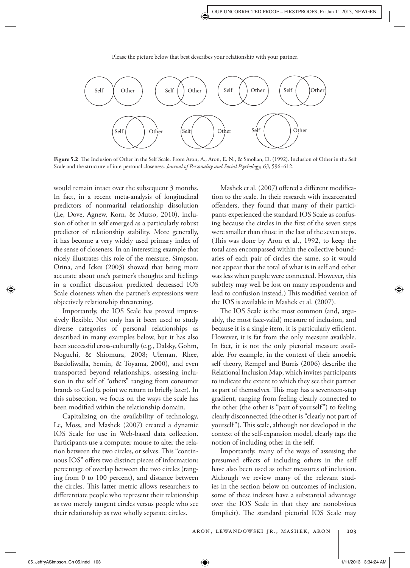

Please the picture below that best describes your relationship with your partner.

Figure 5.2 The Inclusion of Other in the Self Scale. From Aron, A., Aron, E. N., & Smollan, D. (1992). Inclusion of Other in the Self Scale and the structure of interpersonal closeness. *Journal of Personality and Social Psychology, 63* , 596–612.

would remain intact over the subsequent 3 months. In fact, in a recent meta-analysis of longitudinal predictors of nonmarital relationship dissolution (Le, Dove, Agnew, Korn, & Mutso, 2010), inclusion of other in self emerged as a particularly robust predictor of relationship stability. More generally, it has become a very widely used primary index of the sense of closeness. In an interesting example that nicely illustrates this role of the measure, Simpson, Orina, and Ickes (2003) showed that being more accurate about one's partner's thoughts and feelings in a conflict discussion predicted decreased IOS Scale closeness when the partner's expressions were objectively relationship threatening.

 Importantly, the IOS Scale has proved impressively flexible. Not only has it been used to study diverse categories of personal relationships as described in many examples below, but it has also been successful cross-culturally (e.g., Dalsky, Gohm, Noguchi, & Shiomura, 2008; Uleman, Rhee, Bardoliwalla, Semin, & Toyama, 2000), and even transported beyond relationships, assessing inclusion in the self of "others" ranging from consumer brands to God (a point we return to briefly later). In this subsection, we focus on the ways the scale has been modified within the relationship domain.

 Capitalizing on the availability of technology, Le, Moss, and Mashek (2007) created a dynamic IOS Scale for use in Web-based data collection. Participants use a computer mouse to alter the relation between the two circles, or selves. This "continuous IOS" offers two distinct pieces of information: percentage of overlap between the two circles (ranging from 0 to 100 percent), and distance between the circles. This latter metric allows researchers to differentiate people who represent their relationship as two merely tangent circles versus people who see their relationship as two wholly separate circles.

Mashek et al. (2007) offered a different modification to the scale. In their research with incarcerated offenders, they found that many of their participants experienced the standard IOS Scale as confusing because the circles in the first of the seven steps were smaller than those in the last of the seven steps. (This was done by Aron et al., 1992, to keep the total area encompassed within the collective boundaries of each pair of circles the same, so it would not appear that the total of what is in self and other was less when people were connected. However, this subtlety may well be lost on many respondents and lead to confusion instead.) This modified version of the IOS is available in Mashek et al. (2007).

The IOS Scale is the most common (and, arguably, the most face-valid) measure of inclusion, and because it is a single item, it is particularly efficient. However, it is far from the only measure available. In fact, it is not the only pictorial measure available. For example, in the context of their amoebic self theory, Rempel and Burris (2006) describe the Relational Inclusion Map, which invites participants to indicate the extent to which they see their partner as part of themselves. This map has a seventeen-step gradient, ranging from feeling clearly connected to the other (the other is "part of yourself") to feeling clearly disconnected (the other is "clearly not part of yourself"). This scale, although not developed in the context of the self-expansion model, clearly taps the notion of including other in the self.

 Importantly, many of the ways of assessing the presumed effects of including others in the self have also been used as other measures of inclusion. Although we review many of the relevant studies in the section below on outcomes of inclusion, some of these indexes have a substantial advantage over the IOS Scale in that they are nonobvious (implicit). The standard pictorial IOS Scale may

05\_JeffryASimpson\_Ch 05.indd 103 5:34:24 AM  $\bigoplus$  5.11/2013 3:34:24 AM 1/11/2013 3:34:24 AM 1/11/2013 3:34:24 AM /11/2013 3:34:24 AM /11/2013 3:34:24 AM /11/2013 3:34:24 AM /11/2013 3:34:24 AM /11/2013 3:34:24 AM /11/2013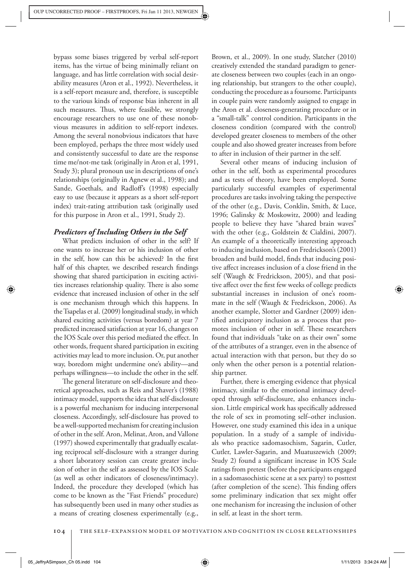bypass some biases triggered by verbal self-report items, has the virtue of being minimally reliant on language, and has little correlation with social desirability measures (Aron et al., 1992). Nevertheless, it is a self-report measure and, therefore, is susceptible to the various kinds of response bias inherent in all such measures. Thus, where feasible, we strongly encourage researchers to use one of these nonobvious measures in addition to self-report indexes. Among the several nonobvious indicators that have been employed, perhaps the three most widely used and consistently successful to date are the response time me/not-me task (originally in Aron et al, 1991, Study 3); plural pronoun use in descriptions of one's relationships (originally in Agnew et al., 1998); and Sande, Goethals, and Radloff's (1998) especially easy to use (because it appears as a short self-report index) trait-rating attribution task (originally used for this purpose in Aron et al., 1991, Study 2).

## *Predictors of Including Others in the Self*

 What predicts inclusion of other in the self? If one wants to increase her or his inclusion of other in the self, how can this be achieved? In the first half of this chapter, we described research findings showing that shared participation in exciting activities increases relationship quality. There is also some evidence that increased inclusion of other in the self is one mechanism through which this happens. In the Tsapelas et al. (2009) longitudinal study, in which shared exciting activities (versus boredom) at year 7 predicted increased satisfaction at year 16, changes on the IOS Scale over this period mediated the effect. In other words, frequent shared participation in exciting activities may lead to more inclusion. Or, put another way, boredom might undermine one's ability—and perhaps willingness—to include the other in the self.

The general literature on self-disclosure and theoretical approaches, such as Reis and Shaver's (1988) intimacy model, supports the idea that self-disclosure is a powerful mechanism for inducing interpersonal closeness. Accordingly, self-disclosure has proved to be a well-supported mechanism for creating inclusion of other in the self. Aron, Melinat, Aron, and Vallone (1997) showed experimentally that gradually escalating reciprocal self-disclosure with a stranger during a short laboratory session can create greater inclusion of other in the self as assessed by the IOS Scale (as well as other indicators of closeness/intimacy). Indeed, the procedure they developed (which has come to be known as the "Fast Friends" procedure) has subsequently been used in many other studies as a means of creating closeness experimentally (e.g.,

Brown, et al., 2009). In one study, Slatcher (2010) creatively extended the standard paradigm to generate closeness between two couples (each in an ongoing relationship, but strangers to the other couple), conducting the procedure as a foursome. Participants in couple pairs were randomly assigned to engage in the Aron et al. closeness-generating procedure or in a "small-talk" control condition. Participants in the closeness condition (compared with the control) developed greater closeness to members of the other couple and also showed greater increases from before to after in inclusion of their partner in the self.

 Several other means of inducing inclusion of other in the self, both as experimental procedures and as tests of theory, have been employed. Some particularly successful examples of experimental procedures are tasks involving taking the perspective of the other (e.g., Davis, Conklin, Smith, & Luce, 1996; Galinsky & Moskowitz, 2000) and leading people to believe they have "shared brain waves" with the other (e.g., Goldstein & Cialdini, 2007). An example of a theoretically interesting approach to inducing inclusion, based on Fredrickson's (2001) broaden and build model, finds that inducing positive affect increases inclusion of a close friend in the self (Waugh & Fredrickson, 2005), and that positive affect over the first few weeks of college predicts substantial increases in inclusion of one's roommate in the self (Waugh & Fredrickson, 2006). As another example, Slotter and Gardner (2009) identified anticipatory inclusion as a process that promotes inclusion of other in self. These researchers found that individuals "take on as their own" some of the attributes of a stranger, even in the absence of actual interaction with that person, but they do so only when the other person is a potential relationship partner.

 Further, there is emerging evidence that physical intimacy, similar to the emotional intimacy developed through self-disclosure, also enhances inclusion. Little empirical work has specifically addressed the role of sex in promoting self–other inclusion. However, one study examined this idea in a unique population. In a study of a sample of individuals who practice sadomasochism, Sagarin, Cutler, Cutler, Lawler-Sagarin, and Muatuszewich (2009; Study 2) found a significant increase in IOS Scale ratings from pretest (before the participants engaged in a sadomasochistic scene at a sex party) to posttest (after completion of the scene). This finding offers some preliminary indication that sex might offer one mechanism for increasing the inclusion of other in self, at least in the short term.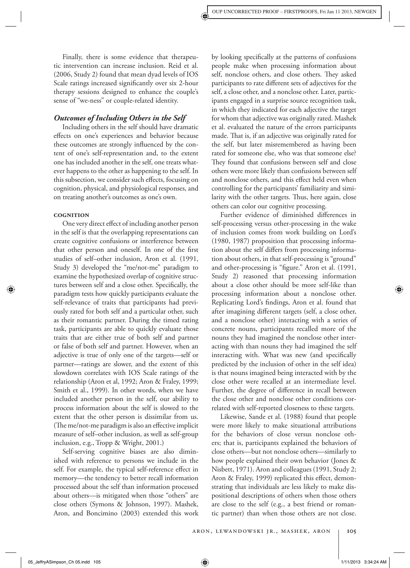Finally, there is some evidence that therapeutic intervention can increase inclusion. Reid et al. (2006, Study 2) found that mean dyad levels of IOS Scale ratings increased significantly over six 2-hour therapy sessions designed to enhance the couple's sense of "we-ness" or couple-related identity.

### *Outcomes of Including Others in the Self*

 Including others in the self should have dramatic effects on one's experiences and behavior because these outcomes are strongly influenced by the content of one's self-representation and, to the extent one has included another in the self, one treats whatever happens to the other as happening to the self. In this subsection, we consider such effects, focusing on cognition, physical, and physiological responses, and on treating another's outcomes as one's own.

#### **COGNITION**

One very direct effect of including another person in the self is that the overlapping representations can create cognitive confusions or interference between that other person and oneself. In one of the first studies of self–other inclusion, Aron et al. (1991, Study 3) developed the "me/not-me" paradigm to examine the hypothesized overlap of cognitive structures between self and a close other. Specifically, the paradigm tests how quickly participants evaluate the self-relevance of traits that participants had previously rated for both self and a particular other, such as their romantic partner. During the timed rating task, participants are able to quickly evaluate those traits that are either true of both self and partner or false of both self and partner. However, when an adjective is true of only one of the targets—self or partner—ratings are slower, and the extent of this slowdown correlates with IOS Scale ratings of the relationship (Aron et al, 1992; Aron & Fraley, 1999; Smith et al., 1999). In other words, when we have included another person in the self, our ability to process information about the self is slowed to the extent that the other person is dissimilar from us. (The me/not-me paradigm is also an effective implicit measure of self–other inclusion, as well as self-group inclusion, e.g., Tropp & Wright, 2001.)

 Self-serving cognitive biases are also diminished with reference to persons we include in the self. For example, the typical self-reference effect in memory—the tendency to better recall information processed about the self than information processed about others—is mitigated when those "others" are close others (Symons & Johnson, 1997). Mashek, Aron, and Boncimino (2003) extended this work

by looking specifically at the patterns of confusions people make when processing information about self, nonclose others, and close others. They asked participants to rate different sets of adjectives for the self, a close other, and a nonclose other. Later, participants engaged in a surprise source recognition task, in which they indicated for each adjective the target for whom that adjective was originally rated. Mashek et al. evaluated the nature of the errors participants made. That is, if an adjective was originally rated for the self, but later misremembered as having been rated for someone else, who was that someone else? They found that confusions between self and close others were more likely than confusions between self and nonclose others, and this effect held even when controlling for the participants' familiarity and similarity with the other targets. Thus, here again, close others can color our cognitive processing.

Further evidence of diminished differences in self-processing versus other-processing in the wake of inclusion comes from work building on Lord's (1980, 1987) proposition that processing information about the self differs from processing information about others, in that self-processing is "ground" and other-processing is "figure." Aron et al. (1991, Study 2) reasoned that processing information about a close other should be more self-like than processing information about a nonclose other. Replicating Lord's findings, Aron et al. found that after imagining different targets (self, a close other, and a nonclose other) interacting with a series of concrete nouns, participants recalled more of the nouns they had imagined the nonclose other interacting with than nouns they had imagined the self interacting with. What was new (and specifically predicted by the inclusion of other in the self idea) is that nouns imagined being interacted with by the close other were recalled at an intermediate level. Further, the degree of difference in recall between the close other and nonclose other conditions correlated with self-reported closeness to these targets.

 Likewise, Sande et al. (1988) found that people were more likely to make situational attributions for the behaviors of close versus nonclose others; that is, participants explained the behaviors of close others—but not nonclose others—similarly to how people explained their own behavior (Jones & Nisbett, 1971). Aron and colleagues (1991, Study 2; Aron & Fraley, 1999) replicated this effect, demonstrating that individuals are less likely to make dispositional descriptions of others when those others are close to the self (e.g., a best friend or romantic partner) than when those others are not close.

05\_JeffryASimpson\_Ch 05.indd 105 5.5.1.10 105 5.934:24 AM 6.1.11/2013 3:34:24 AM 711/2013 3:34:24 AM 71/11/201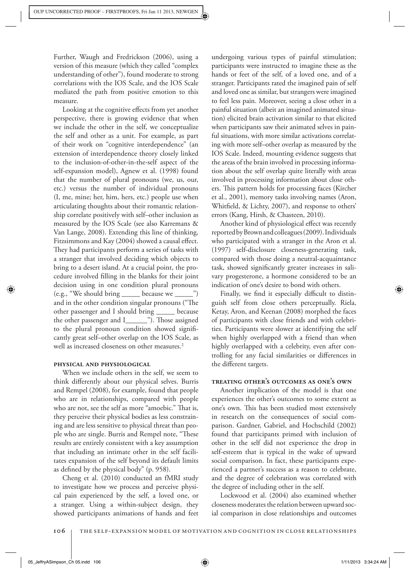Further, Waugh and Fredrickson (2006), using a version of this measure (which they called "complex understanding of other"), found moderate to strong correlations with the IOS Scale, and the IOS Scale mediated the path from positive emotion to this measure.

Looking at the cognitive effects from yet another perspective, there is growing evidence that when we include the other in the self, we conceptualize the self and other as a unit. For example, as part of their work on "cognitive interdependence" (an extension of interdependence theory closely linked to the inclusion-of-other-in-the-self aspect of the self-expansion model), Agnew et al. (1998) found that the number of plural pronouns (we, us, our, etc.) versus the number of individual pronouns (I, me, mine; her, him, hers, etc.) people use when articulating thoughts about their romantic relationship correlate positively with self–other inclusion as measured by the IOS Scale (see also Karremans & Van Lange, 2008). Extending this line of thinking, Fitzsimmons and Kay (2004) showed a causal effect. They had participants perform a series of tasks with a stranger that involved deciding which objects to bring to a desert island. At a crucial point, the procedure involved filling in the blanks for their joint decision using in one condition plural pronouns (e.g., "We should bring \_\_\_\_\_ because we \_\_\_\_\_") and in the other condition singular pronouns ("The other passenger and I should bring \_\_\_\_\_ because the other passenger and I\_\_\_\_\_\_"). Those assigned to the plural pronoun condition showed significantly great self–other overlap on the IOS Scale, as well as increased closeness on other measures.<sup>2</sup>

## PHYSICAL AND PHYSIOLOGICAL

 When we include others in the self, we seem to think differently about our physical selves. Burris and Rempel (2008), for example, found that people who are in relationships, compared with people who are not, see the self as more "amoebic." That is, they perceive their physical bodies as less constraining and are less sensitive to physical threat than people who are single. Burris and Rempel note, "These results are entirely consistent with a key assumption that including an intimate other in the self facilitates expansion of the self beyond its default limits as defined by the physical body" (p. 958).

 Cheng et al. (2010) conducted an fMRI study to investigate how we process and perceive physical pain experienced by the self, a loved one, or a stranger. Using a within-subject design, they showed participants animations of hands and feet

undergoing various types of painful stimulation; participants were instructed to imagine these as the hands or feet of the self, of a loved one, and of a stranger. Participants rated the imagined pain of self and loved one as similar, but strangers were imagined to feel less pain. Moreover, seeing a close other in a painful situation (albeit an imagined animated situation) elicited brain activation similar to that elicited when participants saw their animated selves in painful situations, with more similar activations correlating with more self–other overlap as measured by the IOS Scale. Indeed, mounting evidence suggests that the areas of the brain involved in processing information about the self overlap quite literally with areas involved in processing information about close others. This pattern holds for processing faces (Kircher et al., 2001), memory tasks involving names (Aron, Whitfield, & Lichty, 2007), and response to others' errors (Kang, Hirsh, & Chasteen, 2010).

Another kind of physiological effect was recently reported by Brown and colleagues (2009). Individuals who participated with a stranger in the Aron et al. (1997) self-disclosure closeness-generating task, compared with those doing a neutral-acquaintance task, showed significantly greater increases in salivary progesterone, a hormone considered to be an indication of one's desire to bond with others.

Finally, we find it especially difficult to distinguish self from close others perceptually. Riela, Ketay, Aron, and Keenan (2008) morphed the faces of participants with close friends and with celebrities. Participants were slower at identifying the self when highly overlapped with a friend than when highly overlapped with a celebrity, even after controlling for any facial similarities or differences in the different targets.

## **TREATING OTHER'S OUTCOMES AS ONE'S OWN**

 Another implication of the model is that one experiences the other's outcomes to some extent as one's own. This has been studied most extensively in research on the consequences of social comparison. Gardner, Gabriel, and Hochschild (2002) found that participants primed with inclusion of other in the self did not experience the drop in self-esteem that is typical in the wake of upward social comparison. In fact, these participants experienced a partner's success as a reason to celebrate, and the degree of celebration was correlated with the degree of including other in the self.

 Lockwood et al. (2004) also examined whether closeness moderates the relation between upward social comparison in close relationships and outcomes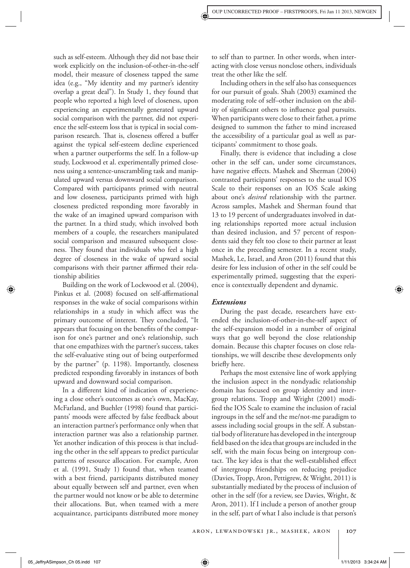such as self-esteem. Although they did not base their work explicitly on the inclusion-of-other-in-the-self model, their measure of closeness tapped the same idea (e.g., "My identity and my partner's identity overlap a great deal"). In Study 1, they found that people who reported a high level of closeness, upon experiencing an experimentally generated upward social comparison with the partner, did not experience the self-esteem loss that is typical in social comparison research. That is, closeness offered a buffer against the typical self-esteem decline experienced when a partner outperforms the self. In a follow-up study, Lockwood et al. experimentally primed closeness using a sentence-unscrambling task and manipulated upward versus downward social comparison. Compared with participants primed with neutral and low closeness, participants primed with high closeness predicted responding more favorably in the wake of an imagined upward comparison with the partner. In a third study, which involved both members of a couple, the researchers manipulated social comparison and measured subsequent closeness. They found that individuals who feel a high degree of closeness in the wake of upward social comparisons with their partner affirmed their relationship abilities

 Building on the work of Lockwood et al. (2004), Pinkus et al. (2008) focused on self-affirmational responses in the wake of social comparisons within relationships in a study in which affect was the primary outcome of interest. They concluded, "It appears that focusing on the benefits of the comparison for one's partner and one's relationship, such that one empathizes with the partner's success, takes the self-evaluative sting out of being outperformed by the partner" (p. 1198). Importantly, closeness predicted responding favorably in instances of both upward and downward social comparison.

In a different kind of indication of experiencing a close other's outcomes as one's own, MacKay, McFarland, and Buehler (1998) found that participants' moods were affected by false feedback about an interaction partner's performance only when that interaction partner was also a relationship partner. Yet another indication of this process is that including the other in the self appears to predict particular patterns of resource allocation. For example, Aron et al. (1991, Study 1) found that, when teamed with a best friend, participants distributed money about equally between self and partner, even when the partner would not know or be able to determine their allocations. But, when teamed with a mere acquaintance, participants distributed more money

to self than to partner. In other words, when interacting with close versus nonclose others, individuals treat the other like the self.

 Including others in the self also has consequences for our pursuit of goals. Shah (2003) examined the moderating role of self–other inclusion on the ability of significant others to influence goal pursuits. When participants were close to their father, a prime designed to summon the father to mind increased the accessibility of a particular goal as well as participants' commitment to those goals.

 Finally, there is evidence that including a close other in the self can, under some circumstances, have negative effects. Mashek and Sherman (2004) contrasted participants' responses to the usual IOS Scale to their responses on an IOS Scale asking about one's *desired* relationship with the partner. Across samples, Mashek and Sherman found that 13 to 19 percent of undergraduates involved in dating relationships reported more actual inclusion than desired inclusion, and 57 percent of respondents said they felt too close to their partner at least once in the preceding semester. In a recent study, Mashek, Le, Israel, and Aron (2011) found that this desire for less inclusion of other in the self could be experimentally primed, suggesting that the experience is contextually dependent and dynamic.

#### *Extensions*

 During the past decade, researchers have exten ded the inclusion-of-other-in-the-self aspect of the self-expansion model in a number of original ways that go well beyond the close relationship domain. Because this chapter focuses on close relationships, we will describe these developments only briefly here.

 Perhaps the most extensive line of work applying the inclusion aspect in the nondyadic relationship domain has focused on group identity and intergroup relations. Tropp and Wright (2001) modified the IOS Scale to examine the inclusion of racial ingroups in the self and the me/not-me paradigm to assess including social groups in the self. A substantial body of literature has developed in the intergroup field based on the idea that groups are included in the self, with the main focus being on intergroup contact. The key idea is that the well-established effect of intergroup friendships on reducing prejudice (Davies, Tropp, Aron, Pettigrew, & Wright, 2011) is substantially mediated by the process of inclusion of other in the self (for a review, see Davies, Wright, & Aron, 2011). If I include a person of another group in the self, part of what I also include is that person's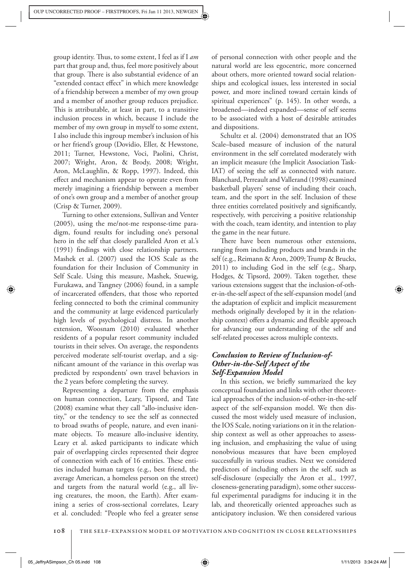group identity. Thus, to some extent, I feel as if I *am* part that group and, thus, feel more positively about that group. There is also substantial evidence of an "extended contact effect" in which mere knowledge of a friendship between a member of my own group and a member of another group reduces prejudice. This is attributable, at least in part, to a transitive inclusion process in which, because I include the member of my own group in myself to some extent, I also include this ingroup member's inclusion of his or her friend's group (Dovidio, Eller, & Hewstone, 2011; Turner, Hewstone, Voci, Paolini, Christ, 2007; Wright, Aron, & Brody, 2008; Wright, Aron, McLaughlin, & Ropp, 1997). Indeed, this effect and mechanism appear to operate even from merely imagining a friendship between a member of one's own group and a member of another group (Crisp & Turner, 2009).

 Turning to other extensions, Sullivan and Venter (2005), using the me/not-me response-time paradigm, found results for including one's personal hero in the self that closely paralleled Aron et al.'s (1991) findings with close relationship partners. Mashek et al. (2007) used the IOS Scale as the foundation for their Inclusion of Community in Self Scale. Using this measure, Mashek, Stuewig, Furukawa, and Tangney (2006) found, in a sample of incarcerated offenders, that those who reported feeling connected to both the criminal community and the community at large evidenced particularly high levels of psychological distress. In another extension, Woosnam (2010) evaluated whether residents of a popular resort community included tourists in their selves. On average, the respondents perceived moderate self-tourist overlap, and a significant amount of the variance in this overlap was predicted by respondents' own travel behaviors in the 2 years before completing the survey.

 Representing a departure from the emphasis on human connection, Leary, Tipsord, and Tate (2008) examine what they call "allo-inclusive identity," or the tendency to see the self as connected to broad swaths of people, nature, and even inanimate objects. To measure allo-inclusive identity, Leary et al. asked participants to indicate which pair of overlapping circles represented their degree of connection with each of 16 entities. These entities included human targets (e.g., best friend, the average American, a homeless person on the street) and targets from the natural world (e.g., all living creatures, the moon, the Earth). After examining a series of cross-sectional correlates, Leary et al. concluded: "People who feel a greater sense

of personal connection with other people and the natural world are less egocentric, more concerned about others, more oriented toward social relationships and ecological issues, less interested in social power, and more inclined toward certain kinds of spiritual experiences" (p. 145). In other words, a broadened—indeed expanded—sense of self seems to be associated with a host of desirable attitudes and dispositions.

 Schultz et al. (2004) demonstrated that an IOS Scale–based measure of inclusion of the natural environment in the self correlated moderately with an implicit measure (the Implicit Association Task-IAT) of seeing the self as connected with nature. Blanchard, Perreault and Vallerand (1998) examined basketball players' sense of including their coach, team, and the sport in the self. Inclusion of these three entities correlated positively and significantly, respectively, with perceiving a positive relationship with the coach, team identity, and intention to play the game in the near future.

There have been numerous other extensions, ranging from including products and brands in the self (e.g., Reimann & Aron, 2009; Trump & Brucks, 2011) to including God in the self (e.g., Sharp, Hodges, & Tipsord, 2009). Taken together, these various extensions suggest that the inclusion-of-other-in-the-self aspect of the self-expansion model (and the adaptation of explicit and implicit measurement methods originally developed by it in the relationship context) offers a dynamic and flexible approach for advancing our understanding of the self and self-related processes across multiple contexts.

# *Conclusion to Review of Inclusion-of-Other-in-the-Self Aspect of the Self-Expansion Model*

In this section, we briefly summarized the key conceptual foundation and links with other theoretical approaches of the inclusion-of-other-in-the-self aspect of the self-expansion model. We then discussed the most widely used measure of inclusion, the IOS Scale, noting variations on it in the relationship context as well as other approaches to assessing inclusion, and emphasizing the value of using nonobvious measures that have been employed successfully in various studies. Next we considered predictors of including others in the self, such as self-disclosure (especially the Aron et al., 1997, closeness-generating paradigm), some other successful experimental paradigms for inducing it in the lab, and theoretically oriented approaches such as anticipatory inclusion. We then considered various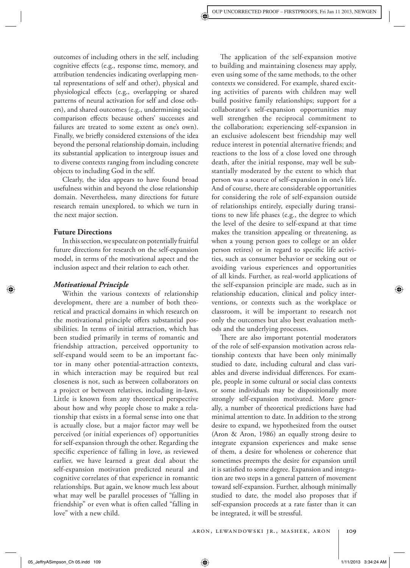outcomes of including others in the self, including cognitive effects (e.g., response time, memory, and attribution tendencies indicating overlapping mental representations of self and other), physical and physiological effects (e.g., overlapping or shared patterns of neural activation for self and close others), and shared outcomes (e.g., undermining social comparison effects because others' successes and failures are treated to some extent as one's own). Finally, we briefly considered extensions of the idea beyond the personal relationship domain, including its substantial application to intergroup issues and to diverse contexts ranging from including concrete objects to including God in the self.

 Clearly, the idea appears to have found broad usefulness within and beyond the close relationship domain. Nevertheless, many directions for future research remain unexplored, to which we turn in the next major section.

#### **Future Directions**

 In this section, we speculate on potentially fruitful future directions for research on the self-expansion model, in terms of the motivational aspect and the inclusion aspect and their relation to each other.

#### *Motivational Principle*

 Within the various contexts of relationship development, there are a number of both theoretical and practical domains in which research on the motivational principle offers substantial possibilities. In terms of initial attraction, which has been studied primarily in terms of romantic and friendship attraction, perceived opportunity to self-expand would seem to be an important factor in many other potential-attraction contexts, in which interaction may be required but real closeness is not, such as between collaborators on a project or between relatives, including in-laws. Little is known from any theoretical perspective about how and why people chose to make a relationship that exists in a formal sense into one that is actually close, but a major factor may well be perceived (or initial experiences of) opportunities for self-expansion through the other. Regarding the specific experience of falling in love, as reviewed earlier, we have learned a great deal about the self-expansion motivation predicted neural and cognitive correlates of that experience in romantic relationships. But again, we know much less about what may well be parallel processes of "falling in friendship" or even what is often called "falling in love" with a new child.

The application of the self-expansion motive to building and maintaining closeness may apply, even using some of the same methods, to the other contexts we considered. For example, shared exciting activities of parents with children may well build positive family relationships; support for a collaborator's self-expansion opportunities may well strengthen the reciprocal commitment to the collaboration; experiencing self-expansion in an exclusive adolescent best friendship may well reduce interest in potential alternative friends; and reactions to the loss of a close loved one through death, after the initial response, may well be substantially moderated by the extent to which that person was a source of self-expansion in one's life. And of course, there are considerable opportunities for considering the role of self-expansion outside of relationships entirely, especially during transitions to new life phases (e.g., the degree to which the level of the desire to self-expand at that time makes the transition appealing or threatening, as when a young person goes to college or an older person retires) or in regard to specific life activities, such as consumer behavior or seeking out or avoiding various experiences and opportunities of all kinds. Further, as real-world applications of the self-expansion principle are made, such as in relationship education, clinical and policy interventions, or contexts such as the workplace or classroom, it will be important to research not only the outcomes but also best evaluation methods and the underlying processes.

There are also important potential moderators of the role of self-expansion motivation across relationship contexts that have been only minimally studied to date, including cultural and class variables and diverse individual differences. For example, people in some cultural or social class contexts or some individuals may be dispositionally more strongly self-expansion motivated. More generally, a number of theoretical predictions have had minimal attention to date. In addition to the strong desire to expand, we hypothesized from the outset (Aron & Aron, 1986) an equally strong desire to integrate expansion experiences and make sense of them, a desire for wholeness or coherence that sometimes preempts the desire for expansion until it is satisfied to some degree. Expansion and integration are two steps in a general pattern of movement toward self-expansion. Further, although minimally studied to date, the model also proposes that if self-expansion proceeds at a rate faster than it can be integrated, it will be stressful.

05\_JeffryASimpson\_Ch 05.indd 109  $\overline{\bigoplus}$  5.34:24 AM  $\overline{\bigoplus}$  5.34:24 AM  $\overline{\bigoplus}$  5.34:24 AM  $\overline{\bigoplus}$  5.34:24 AM  $\overline{\bigoplus}$  5.34:24 AM  $\overline{\bigoplus}$  5.34:24 AM  $\overline{\bigoplus}$  5.34:24 AM  $\overline{\bigoplus}$  5.34:24 AM  $\overline{\bigoplus}$  5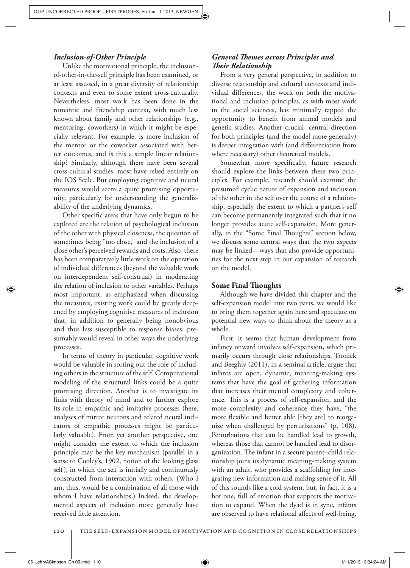## *Inclusion-of-Other Principle*

 Unlike the motivational principle, the inclusionof-other-in-the-self principle has been examined, or at least assessed, in a great diversity of relationship contexts and even to some extent cross-culturally. Nevertheless, most work has been done in the romantic and friendship context, with much less known about family and other relationships (e.g., mentoring, coworkers) in which it might be especially relevant. For example, is more inclusion of the mentor or the coworker associated with better outcomes, and is this a simple linear relationship? Similarly, although there have been several cross-cultural studies, most have relied entirely on the IOS Scale. But employing cognitive and neural measures would seem a quite promising opportunity, particularly for understanding the generalizability of the underlying dynamics.

Other specific areas that have only begun to be explored are the relation of psychological inclusion of the other with physical closeness, the question of sometimes being "too close," and the inclusion of a close other's perceived rewards and costs. Also, there has been comparatively little work on the operation of individual differences (beyond the valuable work on interdependent self-construal) in moderating the relation of inclusion to other variables. Perhaps most important, as emphasized when discussing the measures, existing work could be greatly deepened by employing cognitive measures of inclusion that, in addition to generally being nonobvious and thus less susceptible to response biases, presumably would reveal in other ways the underlying processes.

 In terms of theory in particular, cognitive work would be valuable in sorting out the role of including others in the structure of the self. Computational modeling of the structural links could be a quite promising direction. Another is to investigate its links with theory of mind and to further explore its role in empathic and imitative processes (here, analyses of mirror neurons and related neural indicators of empathic processes might be particularly valuable). From yet another perspective, one might consider the extent to which the inclusion principle may be the key mechanism (parallel in a sense to Cooley's, 1902, notion of the looking glass self), in which the self is initially and continuously constructed from interaction with others. (Who I am, thus, would be a combination of all those with whom I have relationships.) Indeed, the developmental aspects of inclusion more generally have received little attention.

# *General Themes across Principles and*  $The ir$  *Relationship*

 From a very general perspective, in addition to diverse relationship and cultural contexts and individual differences, the work on both the motivational and inclusion principles, as with most work in the social sciences, has minimally tapped the opportunity to benefit from animal models and genetic studies. Another crucial, central direction for both principles (and the model more generally) is deeper integration with (and differentiation from where necessary) other theoretical models.

Somewhat more specifically, future research should explore the links between these two principles. For example, research should examine the presumed cyclic nature of expansion and inclusion of the other in the self over the course of a relationship, especially the extent to which a partner's self can become permanently integrated such that it no longer provides acute self-expansion. More generally, in the "Some Final Thoughts" section below, we discuss some central ways that the two aspects may be linked—ways that also provide opportunities for the next step in our expansion of research on the model.

#### **Some Final ! oughts**

 Although we have divided this chapter and the self-expansion model into two parts, we would like to bring them together again here and speculate on potential new ways to think about the theory as a whole.

 First, it seems that human development from infancy onward involves self-expansion, which primarily occurs through close relationships. Tronick and Beeghly (2011), in a seminal article, argue that infants are open, dynamic, meaning-making systems that have the goal of gathering information that increases their mental complexity and coherence. This is a process of self-expansion, and the more complexity and coherence they have, "the more flexible and better able [they are] to reorganize when challenged by perturbations" (p. 108). Perturbations that can be handled lead to growth, whereas those that cannot be handled lead to disorganization. The infant in a secure parent–child relationship joins its dynamic meaning-making system with an adult, who provides a scaffolding for integrating new information and making sense of it. All of this sounds like a cold system, but, in fact, it is a hot one, full of emotion that supports the motivation to expand. When the dyad is in sync, infants are observed to have relational affects of well-being,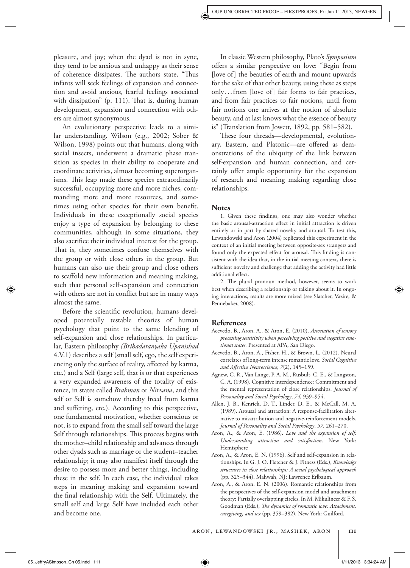pleasure, and joy; when the dyad is not in sync, they tend to be anxious and unhappy as their sense of coherence dissipates. The authors state, "Thus infants will seek feelings of expansion and connection and avoid anxious, fearful feelings associated with dissipation" (p.  $111$ ). That is, during human development, expansion and connection with others are almost synonymous.

 An evolutionary perspective leads to a similar understanding. Wilson (e.g., 2002; Sober & Wilson, 1998) points out that humans, along with social insects, underwent a dramatic phase transition as species in their ability to cooperate and coordinate activities, almost becoming superorganisms. This leap made these species extraordinarily successful, occupying more and more niches, commanding more and more resources, and sometimes using other species for their own benefit. Individuals in these exceptionally social species enjoy a type of expansion by belonging to these communities, although in some situations, they also sacrifice their individual interest for the group. That is, they sometimes confuse themselves with the group or with close others in the group. But humans can also use their group and close others to scaffold new information and meaning making, such that personal self-expansion and connection with others are not in conflict but are in many ways almost the same.

Before the scientific revolution, humans developed potentially testable theories of human psychology that point to the same blending of self-expansion and close relationships. In particular, Eastern philosophy *(Brihadaranyaka Upanishad* 4.V.1) describes a self (small self, ego, the self experiencing only the surface of reality, affected by karma, etc.) and a Self (large self, that is or that experiences a very expanded awareness of the totality of existence, in states called *Brahman* or *Nirvana* , and this self or Self is somehow thereby freed from karma and suffering, etc.). According to this perspective, one fundamental motivation, whether conscious or not, is to expand from the small self toward the large Self through relationships. This process begins with the mother–child relationship and advances through other dyads such as marriage or the student–teacher relationship; it may also manifest itself through the desire to possess more and better things, including these in the self. In each case, the individual takes steps in meaning making and expansion toward the final relationship with the Self. Ultimately, the small self and large Self have included each other and become one.

 In classic Western philosophy, Plato's *Symposium* offers a similar perspective on love: "Begin from [love of] the beauties of earth and mount upwards for the sake of that other beauty, using these as steps only . . . from [love of] fair forms to fair practices, and from fair practices to fair notions, until from fair notions one arrives at the notion of absolute beauty, and at last knows what the essence of beauty is" (Translation from Jowett, 1892, pp. 581–582).

These four threads—developmental, evolutionary, Eastern, and Platonic—are offered as demonstrations of the ubiquity of the link between self-expansion and human connection, and certainly offer ample opportunity for the expansion of research and meaning making regarding close relationships.

#### **Notes**

1. Given these findings, one may also wonder whether the basic arousal-attraction effect in initial attraction is driven entirely or in part by shared novelty and arousal. To test this, Lewandowski and Aron (2004) replicated this experiment in the context of an initial meeting between opposite-sex strangers and found only the expected effect for arousal. This finding is consistent with the idea that, in the initial meeting context, there is sufficient novelty and challenge that adding the activity had little additional effect.

2. The plural pronoun method, however, seems to work best when describing a relationship or talking about it. In ongoing interactions, results are more mixed (see Slatcher, Vazire, & Pennebaker, 2008).

## **References**

- Acevedo, B., Aron, A., & Aron, E. (2010). Association of sensory *processing sensitivity when perceiving positive and negative emo*tional states. Presented at APA, San Diego.
- Acevedo, B., Aron, A., Fisher, H., & Brown, L. (2012). Neural correlates of long-term intense romantic love . *Social Cognitive and Aff ective Neuroscience, 7* (2), 145–159.
- Agnew, C. R., Van Lange, P. A. M., Rusbult, C. E., & Langston, C. A. (1998). Cognitive interdependence: Commitment and the mental representation of close relationships. *Journal of Personality and Social Psychology* , *74,* 939–954 .
- Allen, J. B., Kenrick, D. T., Linder, D. E., & McCall, M. A. (1989). Arousal and attraction: A response-facilitation alternative to misattribution and negative-reinforcement models . *Journal of Personality and Social Psychology* , *57,* 261–270 .
- Aron, A., & Aron, E. (1986). *Love and the expansion of self:* Understanding attraction and satisfaction. New York: Hemisphere
- Aron, A., & Aron, E. N. (1996). Self and self-expansion in relationships. In G. J. O. Fletcher & J. Fitness (Eds.), *Knowledge structures in close relationships: A social psychological approach* (pp. 325–344). Mahwah, NJ: Lawrence Erlbaum.
- Aron, A., & Aron. E. N. (2006). Romantic relationships from the perspectives of the self-expansion model and attachment theory: Partially overlapping circles. In M. Mikulincer & F. S. Goodman (Eds.), *The dynamics of romantic love: Attachment*, caregiving, and sex (pp. 359-382). New York: Guilford.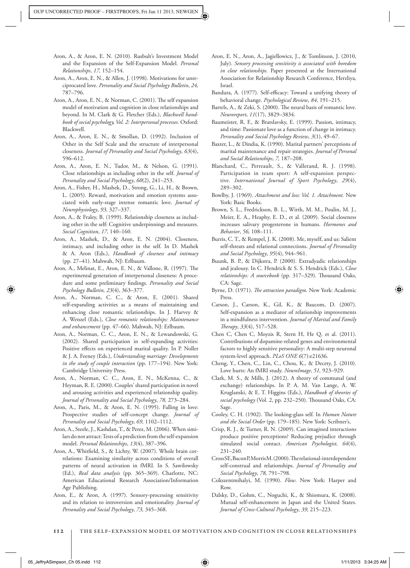- Aron, A., & Aron, E. N. (2010). Rusbult's Investment Model and the Expansion of the Self-Expansion Model . *Personal Relationships* , *17,* 152–154 .
- Aron, A., Aron, E. N., & Allen, J. (1998). Motivations for unreciprocated love . *Personality and Social Psychology Bulletin* , *24,* 787–796 .
- Aron, A., Aron, E. N., & Norman, C. (2001). The self expansion model of motivation and cognition in close relationships and beyond. In M. Clark & G. Fletcher (Eds.), *Blackwell handbook of social psychology, Vol. 2: Interpersonal processes.* Oxford : Blackwell.
- Aron, A., Aron, E. N., & Smollan, D. (1992). Inclusion of Other in the Self Scale and the structure of interpersonal closeness . *Journal of Personality and Social Psychology* , *63* (4), 596–612 .
- Aron, A., Aron, E. N., Tudor, M., & Nelson, G. (1991). Close relationships as including other in the self. *Journal of Personality and Social Psychology* , *60* (2), 241–253 .
- Aron, A., Fisher, H., Mashek, D., Strong, G., Li, H., & Brown, L. (2005). Reward, motivation and emotion systems associated with early-stage intense romantic love. *Journal of Neurophysiology* , *93,* 327–337 .
- Aron, A., & Fraley, B. (1999). Relationship closeness as including other in the self: Cognitive underpinnings and measures . *Social Cognition* , *17,* 140–160 .
- Aron, A., Mashek, D., & Aron, E. N. (2004). Closeness, intimacy, and including other in the self. In D. Mashek & A. Aron (Eds.), *Handbook of closeness and intimacy* (pp. 27-41). Mahwah, NJ: Erlbaum.
- Aron, A., Melinat, E., Aron, E. N., & Vallone, R. (1997). The experimental generation of interpersonal closeness: A procedure and some preliminary findings. Personality and Social *Psychology Bulletin, 23* (4), 363–377 .
- Aron, A., Norman, C. C., & Aron, E. (2001). Shared self-expanding activities as a means of maintaining and enhancing close romantic relationships. In J. Harvey & A. Wenzel (Eds.), *Close romantic relationships: Maintenance*  and enhancement (pp. 47–66). Mahwah, NJ: Erlbaum.
- Aron, A., Norman, C. C., Aron, E. N., & Lewandowski, G. (2002). Shared participation in self-expanding activities: Positive effects on experienced marital quality. In P. Noller & J. A. Feeney (Eds.), *Understanding marriage: Developments in the study of couple interaction* (pp. 177-194). New York: Cambridge University Press.
- Aron, A., Norman, C. C., Aron, E. N., McKenna, C., & Heyman, R. E. (2000). Couples' shared participation in novel and arousing activities and experienced relationship quality. *Journal of Personality and Social Psychology* , *78,* 273–284 .
- Aron, A., Paris, M., & Aron, E. N. (1995). Falling in love: Prospective studies of self-concept change. *Journal of Personality and Social Psychology* , *69,* 1102–1112 .
- Aron, A., Steele, J., Kashdan, T., & Perez, M. (2006). When similars do not attract: Tests of a prediction from the self-expansion model. *Personal Relationships*, 13(4), 387-396.
- Aron, A., Whitfield, S., & Lichty, W. (2007). Whole brain correlations: Examining similarity across conditions of overall patterns of neural activation in fMRI. In S. Sawilowsky (Ed.), *Real data analysis* (pp. 365-369). Charlotte, NC: American Educational Research Association/Information Age Publishing.
- Aron, E., & Aron, A. (1997). Sensory-processing sensitivity and its relation to introversion and emotionality . *Journal of Personality and Social Psychology* , *73,* 345–368 .
- Aron, E. N., Aron, A., Jagiellowicz, J., & Tomlinson, J. (2010, July). Sensory processing sensitivity is associated with boredom *in close relationships* . Paper presented at the International Association for Relationship Research Conference, Herzliya, Israel.
- Bandura, A. (1977). Self-efficacy: Toward a unifying theory of behavioral change. *Psychological Review* , *84,* 191–215 .
- Bartels, A., & Zeki, S. (2000). The neural basis of romantic love. *Neuroreport* , *11* (17), 3829–3834 .
- Baumeister, R. F., & Bratslavsky, E. (1999). Passion, intimacy, and time: Passionate love as a function of change in intimacy . *Personality and Social Psychology Review* , *3* (1), 49–67 .
- Baxter, L., & Dindia, K. (1990). Marital partners' perceptions of marital maintenance and repair strategies . *Journal of Personal and Social Relationships* , *7,* 187–208.
- Blanchard, C., Perreault, S., & Vallerand, R. J. (1998). Participation in team sport: A self-expansion perspective. International Journal of Sport Psychology, 29(4), 289–302 .
- Bowlby, J. (1969). *Attachment and loss: Vol. 1. Attachment*. New York: Basic Books.
- Brown, S. L., Fredrickson, B. L., Wirth, M. M., Poulin, M. J., Meier, E. A., Heaphy, E. D., et al. (2009). Social closeness increases salivary progesterone in humans. Hormones and *Behavior* , *56,* 108–111 .
- Burris, C. T., & Rempel, J. K. (2008). Me, myself, and us: Salient self-threats and relational connections . *Journal of Personality and Social Psychology* , *95* (4), 944–961 .
- Buunk, B. P., & Dijkstra, P. (2000). Extradyadic relationships and jealousy. In C. Hendrick & S. S. Hendrick (Eds.), *Close relationships: A sourcebook* (pp. 317–329). Thousand Oaks, CA: Sage
- Byrne, D. (1971). *The attraction paradigm*. New York: Academic Press.
- Carson, J., Carson, K., Gil, K., & Baucom, D. (2007). Self-expansion as a mediator of relationship improvements in a mindfulness intervention . *Journal of Marital and Family " erapy* , *33* (4), 517–528 .
- Chen C, Chen C, Moyzis R, Stern H, He Q, et al. (2011). Contributions of dopamine-related genes and environmental factors to highly sensitive personality: A multi-step neuronal system-level approach. *PLoS ONE* 6(7):e21636.
- Cheng, Y., Chen, C., Lin, C., Chou, K., & Decety, J. (2010). Love hurts: An fMRI study. *NeuroImage* , *51,* 923–929 .
- Clark, M. S., & Mills, J. (2012). A theory of communal (and exchange) relationships. In P. A. M. Van Lange, A. W. Kruglanski, & E. T. Higgins (Eds.), *Handbook of theories of* social psychology (Vol. 2, pp. 232-250). Thousand Oaks, CA: Sage .
- Cooley, C. H. (1902). The looking-glass self. In *Human Nature* and the Social Order (pp. 179-185). New York: Scribner's,
- Crisp, R. J., & Turner, R. N. (2009). Can imagined interactions produce positive perceptions? Reducing prejudice through simulated social contact. *American Psychologist*, 64(4),  $231 - 240$ .
- Cross SE, Bacon P, Morris M. (2000). The relational-interdependent self-construal and relationships . *Journal of Personality and Social Psychology* , *78,* 791–798.
- Csikszentmihalyi, M. (1990). Flow. New York: Harper and Row.
- Dalsky, D., Gohm, C., Noguchi, K., & Shiomura, K. (2008). Mutual self-enhancement in Japan and the United States . *Journal of Cross-Cultural Psychology* , *39,* 215–223 .

 $\textcolor{blue}{\textcircled{\star}}$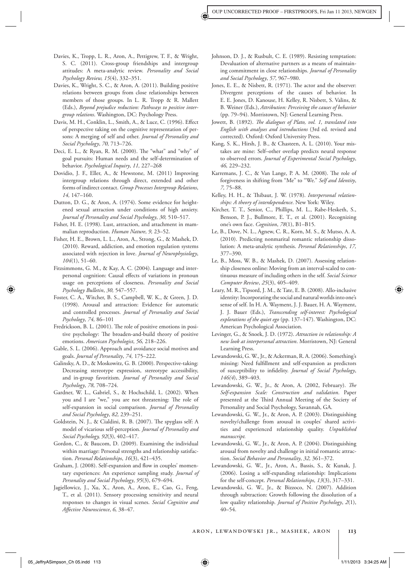- Davies, K., Tropp, L. R., Aron, A., Pettigrew, T. F., & Wright, S. C. (2011). Cross-group friendships and intergroup attitudes: A meta-analytic review. *Personality and Social Psychology Review, 15* (4), 332–351.
- Davies, K., Wright, S. C., & Aron, A. (2011). Building positive relations between groups from close relationships between members of those groups. In L. R. Tropp & R. Mallett (Eds.), *Beyond prejudice reduction: Pathways to positive inter*group relations. Washington, DC: Psychology Press.
- Davis, M. H., Conklin, L., Smith, A., & Luce, C. (1996). Effect of perspective taking on the cognitive representation of persons: A merging of self and other . *Journal of Personality and Social Psychology* , *70,* 713–726.
- Deci, E. L., & Ryan, R. M. (2000). The "what" and "why" of goal pursuits: Human needs and the self-determination of behavior . *Psychological Inquiry* , *11,* 227–268
- Dovidio, J. F., Eller, A., & Hewstone, M. (2011) Improving intergroup relations through direct, extended and other forms of indirect contact . *Group Processes Intergroup Relations* , *14*, 147-160.
- Dutton, D. G., & Aron, A. (1974). Some evidence for heightened sexual attraction under conditions of high anxiety. *Journal of Personality and Social Psychology* , *30,* 510–517 .
- Fisher, H. E. (1998). Lust, attraction, and attachment in mammalian reproduction. Human Nature, 9, 23-52.
- Fisher, H. E., Brown, L. L., Aron, A., Strong, G., & Mashek, D. (2010). Reward, addiction, and emotion regulation systems associated with rejection in love. *Journal of Neurophysiology* , *104*(1), 51–60.
- Fitzsimmons, G. M., & Kay, A. C. (2004). Language and interpersonal cognition: Causal effects of variations in pronoun usage on perceptions of closeness . *Personality and Social Psychology Bulletin* , *30,* 547–557.
- Foster, C. A., Witcher, B. S., Campbell, W. K., & Green, J. D. (1998). Arousal and attraction: Evidence for automatic and controlled processes . *Journal of Personality and Social Psychology* , *74,* 86–101
- Fredrickson, B. L. (2001). The role of positive emotions in positive psychology: The broaden-and-build theory of positive emotions . *American Psychologist* , *56,* 218–226 .
- Gable, S. L. (2006). Approach and avoidance social motives and goals . *Journal of Personality* , *74,* 175–222 .
- Galinsky, A. D., & Moskowitz, G. B. (2000). Perspective-taking: Decreasing stereotype expression, stereotype accessibility, and in-group favoritism . *Journal of Personality and Social Psychology* , *78,* 708–724.
- Gardner, W. L., Gabriel, S., & Hochschild, L. (2002). When you and I are "we," you are not threatening: The role of self-expansion in social comparison . *Journal of Personality and Social Psychology* , *82,* 239–251 .
- Goldstein, N. J., & Cialdini, R. B. (2007). The spyglass self: A model of vicarious self-perception. *Journal of Personality and Social Psychology, 92* (3), 402–417.
- Gordon, C., & Baucom, D. (2009). Examining the individual within marriage: Personal strengths and relationship satisfaction. Personal Relationships, 16(3), 421-435.
- Graham, J. (2008). Self-expansion and flow in couples' momentary experiences: An experience sampling study. *Journal of Personality and Social Psychology* , *95* (3), 679–694 .
- Jagiellowicz, J., Xu, X., Aron, A., Aron, E., Cao, G., Feng, T., et al. (2011). Sensory processing sensitivity and neural responses to changes in visual scenes . *Social Cognitive and Aff ective Neuroscience* , *6,* 38–47 .
- Johnson, D. J., & Rusbult, C. E. (1989). Resisting temptation: Devaluation of alternative partners as a means of maintaining commitment in close relationships . *Journal of Personality and Social Psychology* , *57,* 967–980 .
- Jones, E. E., & Nisbett, R. (1971). The actor and the observer: Divergent perceptions of the causes of behavior. In E. E. Jones, D. Kanouse, H. Kelley, R. Nisbett, S. Valins, & B. Weiner (Eds.), *Attribution: Perceiving the causes of behavior* (pp. 79-94). Morristown, NJ: General Learning Press.
- Jowett, B. (1892). *The dialogues of Plato, vol. 1, translated into English with analyses and introductions* (3rd ed. revised and corrected). Oxford: Oxford University Press.
- Kang, S. K., Hirsh, J. B., & Chasteen, A. L. (2010). Your mistakes are mine: Self–other overlap predicts neural response to observed errors . *Journal of Experimental Social Psychology* , *46,* 229–232.
- Karremans, J. C., & Van Lange, P. A. M. (2008). The role of forgiveness in shifting from "Me" to "We." *Self and Identity* , *7,* 75–88 .
- Kelley, H. H., & Thibaut, J. W. (1978). *Interpersonal relation*ships: A theory of interdependence. New York: Wiley.
- Kircher, T. T., Senior, C., Phillips, M. L., Rabe-Hesketh, S., Benson, P. J., Bullmore, E. T., et al. (2001). Recognizing one's own face . *Cognition* , *78* (1), B1–B15.
- Le, B., Dove, N. L., Agnew, C. R., Korn, M. S., & Mutso, A. A. (2010). Predicting nonmarital romantic relationship dissolution: A meta-analytic synthesis . *Personal Relationships* , *17,* 377–390 .
- Le, B., Moss, W. B., & Mashek, D. (2007). Assessing relationship closeness online: Moving from an interval-scaled to continuous measure of including others in the self . *Social Science Computer Review* , *25* (3), 405–409 .
- Leary, M. R., Tipsord, J. M., & Tate, E. B. (2008). Allo-inclusive identity: Incorporating the social and natural worlds into one's sense of self. In H. A. Wayment, J. J. Bauer, H. A. Wayment, J. J. Bauer (Eds.), *Transcending self-interest: Psychological explorations of the quiet ego* (pp. 137-147). Washington, DC: American Psychological Association.
- Levinger, G., & Snoek, J. D. (1972). *Attraction in relationship: A new look at interpersonal attraction* . Morristown, NJ : General Learning Press.
- Lewandowski, G. W., Jr., & Ackerman, R. A. (2006). Something's missing: Need fulfillment and self-expansion as predictors of susceptibility to infidelity. *Journal of Social Psychology*, *146(4*), 389–403 .
- Lewandowski, G. W., Jr., & Aron, A. (2002, February). *The Self-expansion Scale: Construction and validation* . Paper presented at the Third Annual Meeting of the Society of Personality and Social Psychology, Savannah, GA .
- Lewandowski, G. W., Jr., & Aron, A. P. (2003). Distinguishing novelty/challenge from arousal in couples' shared activities and experienced relationship quality. Unpublished *manuscript.*
- Lewandowski, G. W., Jr., & Aron, A. P. (2004). Distinguishing arousal from novelty and challenge in initial romantic attraction. *Social Behavior and Personality*, 32, 361-372.
- Lewandowski, G. W., Jr., Aron, A., Bassis, S., & Kunak, J. (2006). Losing a self-expanding relationship: Implications for the self-concept . *Personal Relationships, 13* (3), 317–331 .
- Lewandowski, G. W., Jr., & Bizzoco, N. (2007). Addition through subtraction: Growth following the dissolution of a low quality relationship. *Journal of Positive Psychology*, 2(1), 40–54 .

05\_JeffryASimpson\_Ch 05.indd 113 5.34:25 AM 711/2013 3:34:25 AM 1/11/2013 3:34:25 AM 1/11/2013 3:34:25 AM 1/11/2013 3:34:25 AM 1/11/2013 3:34:25 AM 1/11/2013 3:34:25 AM 1/11/2013 3:34:25 AM 1/2013 3:34:25 AM 1/2013 3:34:25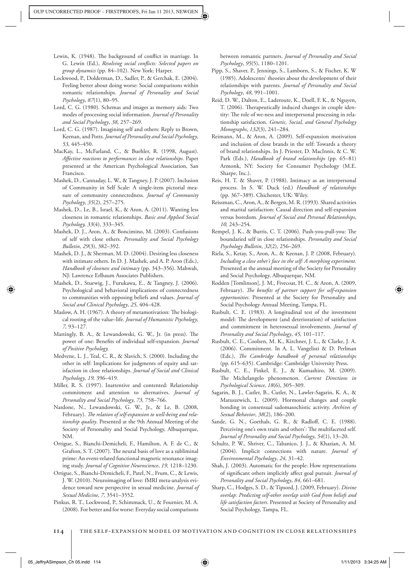- Lewin, K. (1948). The background of conflict in marriage. In G. Lewin (Ed.), *Resolving social conflicts: Selected papers on group dynamics* (pp. 84–102). New York: Harper.
- Lockwood, P., Dolderman, D., Sadler, P., & Gerchak, E. (2004). Feeling better about doing worse: Social comparisons within romantic relationships . *Journal of Personality and Social Psychology* , *87* (1), 80–95 .
- Lord, C. G. (1980). Schemas and images as memory aids: Two modes of processing social information . *Journal of Personality and Social Psychology* , *38,* 257–269 .
- Lord, C. G. (1987). Imagining self and others: Reply to Brown, Keenan, and Potts . *Journal of Personality and Social Psychology* , *53,* 445–450 .
- MacKay, L., McFarland, C., & Buehler, R. (1998, August). *Aff ective reactions to performances in close relationships* . Paper presented at the American Psychological Association, San Francisco.
- Mashek, D., Cannaday, L. W., & Tangney, J. P. (2007). Inclusion of Community in Self Scale: A single-item pictorial measure of community connectedness . *Journal of Community Psychology* , *35* (2), 257–275 .
- Mashek, D., Le, B., Israel, K., & Aron, A. (2011). Wanting less closeness in romantic relationships . *Basic and Applied Social Psychology, 33*(4), 333–345 .
- Mashek, D. J., Aron, A., & Boncimino, M. (2003). Confusions of self with close others. *Personality and Social Psychology Bulletin* , *29* (3), 382–392 .
- Mashek, D. J., & Sherman, M. D. (2004). Desiring less closeness with intimate others. In D. J. Mashek, and A. P. Aron (Eds.), Handbook of closeness and intimacy (pp. 343-356). Mahwah, NJ: Lawrence Erlbaum Associates Publishers.
- Mashek, D., Stuewig, J., Furukawa, E., & Tangney, J. (2006). Psychological and behavioral implications of connectedness to communities with opposing beliefs and values . *Journal of Social and Clinical Psychology* , *25,* 404–428 .
- Maslow, A. H. (1967). A theory of metamotivation: The biological rooting of the value–life . *Journal of Humanistic Psychology* , *7,* 93–127.
- Mattingly, B. A., & Lewandowski, G. W., Jr. (in press). The power of one: Benefits of individual self-expansion. *Journal of Positive Psychology.*
- Medvene, L. J., Teal, C. R., & Slavich, S. (2000). Including the other in self: Implications for judgments of equity and satisfaction in close relationships . *Journal of Social and Clinical Psychology* , *19,* 396–419 .
- Miller, R. S. (1997). Inattentive and contented: Relationship commitment and attention to alternatives . *Journal of Personality and Social Psychology* , *73,* 758–766 .
- Nardone, N., Lewandowski, G. W., Jr., & Le, B. (2008, February). The relation of self-expansion to well-being and rela*tionship quality* . Presented at the 9th Annual Meeting of the Society of Personality and Social Psychology, Albuquerque, NM.
- Ortigue, S., Bianchi-Demicheli, F., Hamilton, A. F. de C., & Grafton, S. T. (2007). The neural basis of love as a subliminal prime: An event-related functional magnetic resonance imaging study. *Journal of Cognitive Neuroscience*, 19, 1218-1230.
- Ortigue, S., Bianchi-Demicheli, F., Patel, N., Frum, C., & Lewis, J. W. (2010). Neuroimaging of love: fMRI meta-analysis evidence toward new perspective in sexual medicine . *Journal of Sexual Medicine* , *7,* 3541–3552 .
- Pinkus, R. T., Lockwood, P., Schimmack, U., & Fournier, M. A. ( 2008 ). For better and for worse: Everyday social comparisons

between romantic partners . *Journal of Personality and Social Psychology* , *95* (5), 1180–1201 .

- Pipp, S., Shaver, P., Jennings, S., Lamborn, S., & Fischer, K. W (1985). Adolescents' theories about the development of their relationships with parents . *Journal of Personality and Social Psychology* , *48,* 991–1001 .
- Reid, D. W., Dalton, E., Laderoute, K., Doell, F. K., & Nguyen, T. (2006). Therapeutically induced changes in couple identity: The role of we-ness and interpersonal processing in relationship satisfaction . *Genetic, Social, and General Psychology Monographs* , *132* (3), 241–284 .
- Reimann, M., & Aron, A. (2009). Self-expansion motivation and inclusion of close brands in the self: Towards a theory of brand relationships. In J. Priester, D. MacInnis, & C. W. Park (Eds.), *Handbook of brand relationships* (pp. 65-81) Armonk, NY: Society for Consumer Psychology (M.E. Sharpe, Inc.).
- Reis, H. T. & Shaver, P. (1988). Intimacy as an interpersonal process. In S. W. Duck (ed.) *Handbook of relationships* (pp. 367-389). Chichester, UK: Wiley.
- Reissman, C., Aron, A., & Bergen, M. R. (1993). Shared activities and marital satisfaction: Causal direction and self-expansion versus boredom. *Journal of Social and Personal Relationships*, *10,* 243–254 .
- Rempel, J. K., & Burris, C. T. (2006). Push-you-pull-you: The boundaried self in close relationships . *Personality and Social Psychology Bulletin* , *32* (2), 256–269 .
- Riela, S., Ketay, S., Aron, A., & Keenan, J. P. (2008, February). *Including a close other's face in the self: A morphing experiment.* Presented at the annual meeting of the Society for Personality and Social Psychology, Albuquerque, NM .
- Rodden [Tomlinson], J. M., Fivecoat, H. C., & Aron, A. (2009, February). The benefits of partner support for self-expansion *opportunities* . Presented at the Society for Personality and Social Psychology Annual Meeting, Tampa, FL.
- Rusbult, C. E. (1983). A longitudinal test of the investment model: The development (and deterioration) of satisfaction and commitment in heterosexual involvements. *Journal of Personality and Social Psychology* , *45,* 101–117 .
- Rusbult, C. E., Coolsen, M. K., Kirchner, J. L., & Clarke, J. A. (2006). Commitment. In A. L. Vangelisti & D. Perlman (Eds.), *The Cambridge handbook of personal relationships* (pp. 615-635). Cambridge: Cambridge University Press.
- Rusbult, C. E., Finkel, E. J., & Kumashiro, M. (2009). The Michelangelo phenomenon. *Current Directions in Psychological Science* , *18* (6), 305–309 .
- Sagarin, B. J., Cutler, B., Cutler, N., Lawler-Sagarin, K. A., & Matuszewich, L. (2009). Hormonal changes and couple bonding in consensual sadomasochistic activity. *Archives of Sexual Behavior* , *38* (2), 186–200 .
- Sande, G. N., Goethals, G. R., & Radloff, C. E. (1988). Perceiving one's own traits and others': The multifaceted self. *Journal of Personality and Social Psychology* , *54* (1), 13–20 .
- Schultz, P. W., Shriver, C., Tabanico, J. J., & Khazian, A. M. (2004). Implicit connections with nature. *Journal of Environmental Psychology* , *24,* 31–42 .
- Shah, J. (2003). Automatic for the people: How representations of significant others implicitly affect goal pursuit. *Journal of Personality and Social Psychology* , *84,* 661–681 .
- Sharp, C., Hodges, S. D., & Tipsord, J. (2009, February). *Divine overlap: Predicting self-other overlap with God from beliefs and life satisfaction factors* . Presented at Society of Personality and Social Psychology, Tampa, FL.